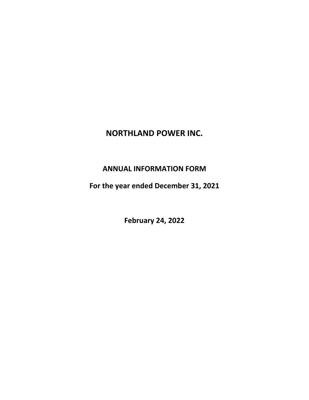# **NORTHLAND POWER INC.**

# **ANNUAL INFORMATION FORM**

For the year ended December 31, 2021

**February 24, 2022**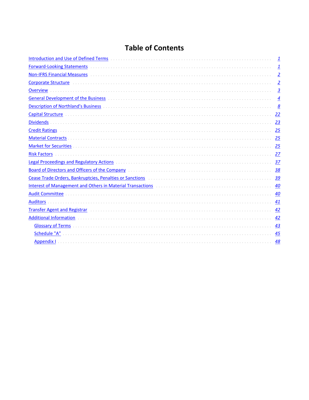# **Table of Contents**

|                                                                                                                                                                                                                                | 1                       |
|--------------------------------------------------------------------------------------------------------------------------------------------------------------------------------------------------------------------------------|-------------------------|
| <b>Forward-Looking Statements</b>                                                                                                                                                                                              | $\overline{\mathbf{1}}$ |
|                                                                                                                                                                                                                                | $\overline{2}$          |
|                                                                                                                                                                                                                                | $\overline{2}$          |
| <b>Overview</b>                                                                                                                                                                                                                | $\overline{3}$          |
| General Development of the Business entertainment and the control of the Business entertainment of the Business                                                                                                                | $\overline{4}$          |
| <b>Description of Northland's Business</b>                                                                                                                                                                                     | 8                       |
| Capital Structure <b>construction and construction of the Capital</b> Structure of the Capital Structure of the Capita                                                                                                         | 22                      |
| <b>Dividends</b>                                                                                                                                                                                                               | 23                      |
| <b>Credit Ratings</b>                                                                                                                                                                                                          | 25                      |
| <b>Material Contracts</b>                                                                                                                                                                                                      | 25                      |
|                                                                                                                                                                                                                                | 25                      |
| <b>Risk Factors</b>                                                                                                                                                                                                            | 27                      |
| Legal Proceedings and Regulatory Actions (and according to the control of the control of the control of the control of the control of the control of the control of the control of the control of the control of the control o | 37                      |
| <b>Board of Directors and Officers of the Company Material Construction of Director Adventuration of Directors and Officers of the Company</b>                                                                                 | 38                      |
|                                                                                                                                                                                                                                | 39                      |
| Interest of Management and Others in Material Transactions [11] Material Transactions [11] Material Transactions [11] Material Transactions [11] Material Transaction of the United States of Management and Others in Materia | 40                      |
| <b>Audit Committee</b>                                                                                                                                                                                                         | 40                      |
| <b>Auditors</b>                                                                                                                                                                                                                | 41                      |
| <b>Transfer Agent and Registrar</b>                                                                                                                                                                                            | 42                      |
| <b>Additional Information</b>                                                                                                                                                                                                  | 42                      |
|                                                                                                                                                                                                                                | 43                      |
| Schedule "A"                                                                                                                                                                                                                   | 45                      |
| <b>Appendix I</b>                                                                                                                                                                                                              | 48                      |
|                                                                                                                                                                                                                                |                         |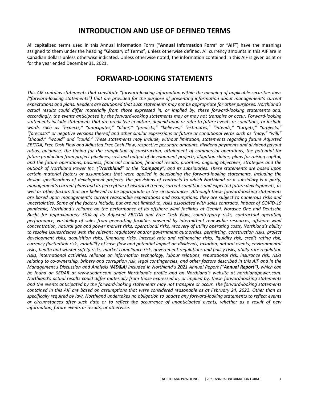## **INTRODUCTION AND USE OF DEFINED TERMS**

<span id="page-2-0"></span>All capitalized terms used in this Annual Information Form ("Annual Information Form" or "AIF") have the meanings assigned to them under the heading "Glossary of Terms", unless otherwise defined. All currency amounts in this AIF are in Canadian dollars unless otherwise indicated. Unless otherwise noted, the information contained in this AIF is given as at or for the year ended December 31, 2021.

## **FORWARD-LOOKING STATEMENTS**

This AIF contains statements that constitute "forward-looking information within the meaning of applicable securities laws *("forward-looking statements")* that are provided for the purpose of presenting information about management's current expectations and plans. Readers are cautioned that such statements may not be appropriate for other purposes. Northland's actual results could differ materially from those expressed in, or implied by, these forward-looking statements and, accordingly, the events anticipated by the forward-looking statements may or may not transpire or occur. Forward-looking statements include statements that are predictive in nature, depend upon or refer to future events or conditions, or include words such as "expects," "anticipates," "plans," "predicts," "believes," "estimates," "intends," "targets," "projects," "forecasts" or negative versions thereof and other similar expressions or future or conditional verbs such as "may," "will," *"should," "would" and "could." These statements may include, without limitation, statements regarding future Adjusted*  EBITDA, Free Cash Flow and Adjusted Free Cash Flow, respective per share amounts, dividend payments and dividend payout ratios, *guidance, the timing for the completion of construction, attainment of commercial operations, the potential for future* production from project pipelines, cost and output of development projects, litigation claims, plans for raising capital, and the future operations, business, financial condition, financial results, priorities, ongoing objectives, strategies and the *outlook* of Northland Power Inc. ("**Northland**" or the "**Company**") and its subsidiaries. These statements are based upon *certain material factors or assumptions that were applied in developing the forward-looking statements, including the design specifications of development projects, the provisions of contracts to which Northland or a subsidiary is a party,* management's current plans and its perception of historical trends, current conditions and expected future developments, as well as other factors that are believed to be appropriate in the circumstances. Although these forward-looking statements are based upon management's current reasonable expectations and assumptions, they are subject to numerous risks and uncertainties. Some of the factors include, but are not limited to, risks associated with sales contracts, impact of COVID-19 pandemic, Northland's reliance on the performance of its offshore wind facilities at Gemini, Nordsee One and Deutsche *Bucht for approximately 50% of its Adjusted EBITDA and Free Cash Flow, counterparty risks, contractual operating* performance, variability of sales from generating facilities powered by intermittent renewable resources, offshore wind *concentration, natural qas and power market risks, operational risks, recovery of utility operating costs, Northland's ability* to resolve issues/delays with the relevant regulatory and/or government authorities, permitting, construction risks, project *development risks, acquisition risks, financing risks, interest rate and refinancing risks, liquidity risk, credit rating risk, currency fluctuation risk, variability of cash flow and potential impact on dividends, taxation, natural events, environmental* risks, health and worker safety risks, market compliance risk, government regulations and policy risks, utility rate regulation risks, international activities, reliance on information technology, labour relations, reputational risk, insurance risk, risks relating to co-ownership, bribery and corruption risk, legal contingencies, and other factors described in this AIF and in the *Management's Discussion and Analysis (MD&A)* included in Northland's 2021 Annual Report ("Annual Report"), which can be found on SEDAR at www.sedar.com under Northland's profile and on Northland's website at northlandpower.com. *Northland's* actual results could differ materially from those expressed in, or implied by, these forward-looking statements and the events anticipated by the forward-looking statements may not transpire or occur. The forward-looking statements *contained in this AIF are based on assumptions that were considered reasonable as at February 24, 2022. Other than as* specifically required by law, Northland undertakes no obligation to update any forward-looking statements to reflect events or circumstances after such date or to reflect the occurrence of unanticipated events, whether as a result of new information, future events or results, or otherwise.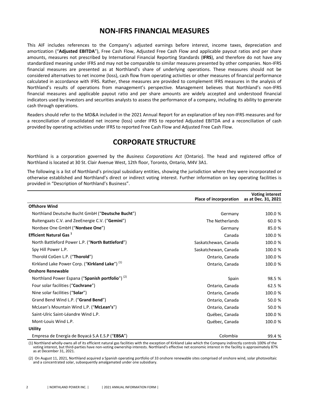## **NON-IFRS FINANCIAL MEASURES**

<span id="page-3-0"></span>This AIF includes references to the Company's adjusted earnings before interest, income taxes, depreciation and amortization ("Adjusted EBITDA"), Free Cash Flow, Adjusted Free Cash Flow and applicable payout ratios and per share amounts, measures not prescribed by International Financial Reporting Standards (IFRS), and therefore do not have any standardized meaning under IFRS and may not be comparable to similar measures presented by other companies. Non-IFRS financial measures are presented as at Northland's share of underlying operations. These measures should not be considered alternatives to net income (loss), cash flow from operating activities or other measures of financial performance calculated in accordance with IFRS. Rather, these measures are provided to complement IFRS measures in the analysis of Northland's results of operations from management's perspective. Management believes that Northland's non-IFRS financial measures and applicable payout ratio and per share amounts are widely accepted and understood financial indicators used by investors and securities analysts to assess the performance of a company, including its ability to generate cash through operations.

Readers should refer to the MD&A included in the 2021 Annual Report for an explanation of key non-IFRS measures and for a reconciliation of consolidated net income (loss) under IFRS to reported Adjusted EBITDA and a reconciliation of cash provided by operating activities under IFRS to reported Free Cash Flow and Adjusted Free Cash Flow.

## **CORPORATE STRUCTURE**

Northland is a corporation governed by the *Business Corporations Act* (Ontario). The head and registered office of Northland is located at 30 St. Clair Avenue West, 12th floor, Toronto, Ontario, M4V 3A1.

The following is a list of Northland's principal subsidiary entities, showing the jurisdiction where they were incorporated or otherwise established and Northland's direct or indirect voting interest. Further information on key operating facilities is provided in "Description of Northland's Business".

|                                                             | Place of incorporation | <b>Voting interest</b><br>as at Dec. 31, 2021 |
|-------------------------------------------------------------|------------------------|-----------------------------------------------|
| <b>Offshore Wind</b>                                        |                        |                                               |
| Northland Deutsche Bucht GmbH ("Deutsche Bucht")            | Germany                | 100.0 %                                       |
| Buitengaats C.V. and ZeeEnergie C.V. ("Gemini")             | The Netherlands        | 60.0 %                                        |
| Nordsee One GmbH ("Nordsee One")                            | Germany                | 85.0 %                                        |
| <b>Efficient Natural Gas</b> <sup>1</sup>                   | Canada                 | 100.0 %                                       |
| North Battleford Power L.P. ("North Battleford")            | Saskatchewan, Canada   | 100.0 %                                       |
| Spy Hill Power L.P.                                         | Saskatchewan, Canada   | 100.0 %                                       |
| Thorold CoGen L.P. ("Thorold")                              | Ontario, Canada        | 100.0 %                                       |
| Kirkland Lake Power Corp. ("Kirkland Lake") <sup>(1)</sup>  | Ontario, Canada        | 100.0 %                                       |
| <b>Onshore Renewable</b>                                    |                        |                                               |
| Northland Power Espana ("Spanish portfolio") <sup>(2)</sup> | Spain                  | 98.5 %                                        |
| Four solar facilities ("Cochrane")                          | Ontario, Canada        | 62.5 %                                        |
| Nine solar facilities ("Solar")                             | Ontario, Canada        | 100.0 %                                       |
| Grand Bend Wind L.P. ("Grand Bend")                         | Ontario, Canada        | 50.0 %                                        |
| McLean's Mountain Wind L.P. ("McLean's")                    | Ontario, Canada        | 50.0 %                                        |
| Saint-Ulric Saint-Léandre Wind L.P.                         | Québec, Canada         | 100.0 %                                       |
| Mont-Louis Wind L.P.                                        | Québec, Canada         | 100.0 %                                       |
| <b>Utility</b>                                              |                        |                                               |
| Empresa de Energía de Boyacá S.A E.S.P ("EBSA")             | Colombia               | 99.4 %                                        |

(1) Northland wholly-owns all of its efficient natural gas facilities with the exception of Kirkland Lake which the Company indirectly controls 100% of the voting interest, but third-parties have non-voting ownership interests. Northland's effective net economic interest in the facility is approximately 87% as at December 31, 2021.

(2) On August 11, 2021, Northland acquired a Spanish operating portfolio of 33 onshore renewable sites comprised of onshore wind, solar photovoltaic and a concentrated solar, subsequently amalgamated under one subsidiary.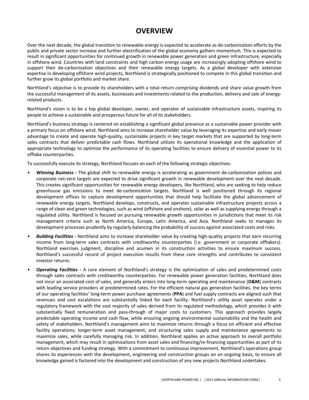# **OVERVIEW**

<span id="page-4-0"></span>Over the next decade, the global transition to renewable energy is expected to accelerate as de-carbonization efforts by the public and private sector increase and further electrification of the global economy gathers momentum. This is expected to result in significant opportunities for continued growth in renewable power generation and green infrastructure, especially in offshore wind. Countries with land constraints and high carbon energy usage are increasingly adopting offshore wind to support their de-carbonization objectives and their renewable energy targets. As a global developer with extensive expertise in developing offshore wind projects, Northland is strategically positioned to compete in this global transition and further grow its global portfolio and market share.

Northland's objective is to provide its shareholders with a total return comprising dividends and share value growth from the successful management of its assets, businesses and investments related to the production, delivery and sale of energyrelated products.

Northland's vision is to be a top global developer, owner, and operator of sustainable infrastructure assets, inspiring its people to achieve a sustainable and prosperous future for all of its stakeholders.

Northland's business strategy is centered on establishing a significant global presence as a sustainable power provider with a primary focus on offshore wind. Northland aims to increase shareholder value by leveraging its expertise and early mover advantage to create and operate high-quality, sustainable projects in key target markets that are supported by long-term sales contracts that deliver predictable cash flows. Northland utilizes its operational knowledge and the application of appropriate technology to optimize the performance of its operating facilities to ensure delivery of essential power to its offtake counterparties.

To successfully execute its strategy, Northland focuses on each of the following strategic objectives:

- **Winning Business** The global shift to renewable energy is accelerating as government de-carbonization polices and corporate net-zero targets are expected to drive significant growth in renewable development over the next decade. This creates significant opportunities for renewable energy developers, like Northland, who are seeking to help reduce greenhouse gas emissions to meet de-carbonization targets. Northland is well positioned through its regional development offices to capture development opportunities that should help facilitate the global advancement of renewable energy targets. Northland develops, constructs, and operates sustainable infrastructure projects across a range of clean and green technologies, such as wind (offshore and onshore), solar as well as supplying energy through a regulated utility. Northland is focused on pursuing renewable growth opportunities in jurisdictions that meet its risk management criteria such as North America, Europe, Latin America, and Asia. Northland seeks to manages its development processes prudently by regularly balancing the probability of success against associated costs and risks.
- **Building Facilities** Northland aims to increase shareholder value by creating high-quality projects that earn recurring income from long-term sales contracts with creditworthy counterparties (i.e. government or corporate offtakers). Northland exercises judgment, discipline and acumen in its construction activities to ensure maximum success. Northland's successful record of project execution results from these core strengths and contributes to consistent investor returns.
- *Operating Facilities* A core element of Northland's strategy is the optimization of sales and predetermined costs through sales contracts with creditworthy counterparties. For renewable power generation facilities, Northland does not incur an associated cost of sales, and generally enters into long-term operating and maintenance (O&M) contracts with leading service providers at predetermined rates. For the efficient natural gas generation facilities, the key terms of our operating facilities' long-term power purchase agreements (PPA) and fuel supply contracts are aligned such that revenues and cost escalations are substantially linked for each facility. Northland's utility asset operates under a regulatory framework with the vast majority of sales derived from its regulated methodology, which provides it with substantially fixed remuneration and pass-through of major costs to customers. This approach provides largely predictable operating income and cash flow, while ensuring ongoing environmental sustainability and the health and safety of stakeholders. Northland's management aims to maximize returns through a focus on efficient and effective facility operations; longer-term asset management; and structuring sales supply and maintenance agreements to maximize sales, while carefully managing risk. In addition, Northland applies an active approach to overall portfolio management, which may result in optimizations from asset sales and financing/re-financing opportunities as part of its return objectives and funding strategy. With a commitment to continuous improvement, Northland's operations group shares its experiences with the development, engineering and construction groups on an ongoing basis, to ensure all knowledge gained is factored into the development and construction of any new projects Northland undertakes.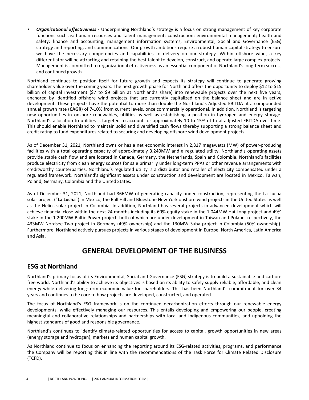<span id="page-5-0"></span>*Organizational Effectiveness -* Underpinning Northland's strategy is a focus on strong management of key corporate functions such as: human resources and talent management; construction; environmental management; health and safety; finance and accounting; management information systems, Environmental, Social and Governance (ESG) strategy and reporting, and communications. Our growth ambitions require a robust human capital strategy to ensure we have the necessary competencies and capabilities to delivery on our strategy. Within offshore wind, a key differentiator will be attracting and retaining the best talent to develop, construct, and operate large complex projects. Management is committed to organizational effectiveness as an essential component of Northland's long-term success and continued growth.

Northland continues to position itself for future growth and expects its strategy will continue to generate growing shareholder value over the coming years. The next growth phase for Northland offers the opportunity to deploy \$12 to \$15 billion of capital investment (\$7 to \$9 billion at Northland's share) into renewable projects over the next five years, anchored by identified offshore wind projects that are currently capitalized on the balance sheet and are in active development. These projects have the potential to more than double the Northland's Adjusted EBITDA at a compounded annual growth rate (CAGR) of 7-10% from current levels, once commercially operational. In addition, Northland is targeting new opportunities in onshore renewables, utilities as well as establishing a position in hydrogen and energy storage. Northland's allocation to utilities is targeted to account for approximately 10 to 15% of total adjusted EBITDA over time. This should enable Northland to maintain solid and diversified cash flows thereby supporting a strong balance sheet and credit rating to fund expenditures related to securing and developing offshore wind development projects.

As of December 31, 2021, Northland owns or has a net economic interest in 2,817 megawatts (MW) of power-producing facilities with a total operating capacity of approximately 3,240MW and a regulated utility. Northland's operating assets provide stable cash flow and are located in Canada, Germany, the Netherlands, Spain and Colombia. Northland's facilities produce electricity from clean energy sources for sale primarily under long-term PPAs or other revenue arrangements with creditworthy counterparties. Northland's regulated utility is a distributor and retailer of electricity compensated under a regulated framework. Northland's significant assets under construction and development are located in Mexico, Taiwan, Poland, Germany, Colombia and the United States.

As of December 31, 2021, Northland had 366MW of generating capacity under construction, representing the La Lucha solar project ("La Lucha") in Mexico, the Ball Hill and Bluestone New York onshore wind projects in the United States as well as the Helios solar project in Colombia. In addition, Northland has several projects in advanced development which will achieve financial close within the next 24 months including its 60% equity stake in the 1,044MW Hai Long project and 49% stake in the 1,200MW Baltic Power project, both of which are under development in Taiwan and Poland, respectively, the 433MW Nordsee Two project in Germany (49% ownership) and the 130MW Suba project in Colombia (50% ownership). Furthermore, Northland actively pursues projects in various stages of development in Europe, North America, Latin America and Asia.

# **GENERAL DEVELOPMENT OF THE BUSINESS**

### **ESG at Northland**

Northland's primary focus of its Environmental, Social and Governance (ESG) strategy is to build a sustainable and carbonfree world. Northland's ability to achieve its objectives is based on its ability to safely supply reliable, affordable, and clean energy while delivering long-term economic value for shareholders. This has been Northland's commitment for over 34 years and continues to be core to how projects are developed, constructed, and operated.

The focus of Northland's ESG framework is on the continued decarbonization efforts through our renewable energy developments, while effectively managing our resources. This entails developing and empowering our people, creating meaningful and collaborative relationships and partnerships with local and Indigenous communities, and upholding the highest standards of good and responsible governance.

Northland's continues to identify climate-related opportunities for access to capital, growth opportunities in new areas (energy storage and hydrogen), markets and human capital growth.

As Northland continue to focus on enhancing the reporting around its ESG-related activities, programs, and performance the Company will be reporting this in line with the recommendations of the Task Force for Climate Related Disclosure (TCFD).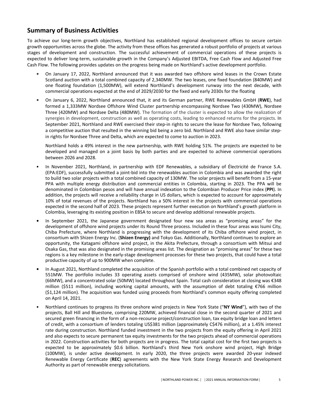## **Summary of Business Activities**

To achieve our long-term growth objectives, Northland has established regional development offices to secure certain growth opportunities across the globe. The activity from these offices has generated a robust portfolio of projects at various stages of development and construction. The successful achievement of commercial operations of these projects is expected to deliver long-term, sustainable growth in the Company's Adjusted EBITDA, Free Cash Flow and Adjusted Free Cash Flow. The following provides updates on the progress being made on Northland's active development portfolio.

- On January 17, 2022, Northland announced that it was awarded two offshore wind leases in the Crown Estate Scotland auction with a total combined capacity of 2,340MW. The two leases, one fixed foundation (840MW) and one floating foundation (1,500MW), will extend Northland's development runway into the next decade, with commercial operations expected at the end of 2029/2030 for the fixed and early 2030s for the floating
- On January 6, 2022, Northland announced that, it and its German partner, RWE Renewables GmbH (RWE), had formed a 1,333MW Nordsee Offshore Wind Cluster partnership encompassing Nordsee Two (430MW), Nordsee Three (420MW) and Nordsee Delta (480MW). The formation of the cluster is expected to allow the realization of synergies in development, construction as well as operating costs, leading to enhanced returns for the projects. In September 2021, Northland and RWE exercised their step-in rights to secure the lease for Nordsee Two, following a competitive auction that resulted in the winning bid being a zero bid. Northland and RWE also have similar stepin rights for Nordsee Three and Delta, which are expected to come to auction in 2023.

Northland holds a 49% interest in the new partnership, with RWE holding 51%. The projects are expected to be developed and managed on a joint basis by both parties and are expected to achieve commercial operations between 2026 and 2028.

- In November 2021, Northland, in partnership with EDF Renewables, a subsidiary of Électricité de France S.A. (EPA:EDF), successfully submitted a joint-bid into the renewables auction in Colombia and was awarded the right to build two solar projects with a total combined capacity of 130MW. The solar projects will benefit from a 15-year PPA with multiple energy distribution and commercial entities in Colombia, starting in 2023. The PPA will be denominated in Colombian pesos and will have annual indexation to the Colombian Producer Price index (PPI). In addition, the projects will receive a reliability charge in US dollars, which is expected to account for approximately 10% of total revenues of the projects. Northland has a 50% interest in the projects with commercial operations expected in the second half of 2023. These projects represent further execution on Northland's growth platform in Colombia, leveraging its existing position in EBSA to secure and develop additional renewable projects.
- In September 2021, the Japanese government designated four new sea areas as "promising areas" for the development of offshore wind projects under its Round Three process. Included in these four areas was Isumi City, Chiba Prefecture, where Northland is progressing with the development of its Chiba offshore wind project, in consortium with Shizen Energy Inc. (Shizen Energy) and Tokyo Gas. Additionally, Northland continues to explore an opportunity, the Katagami offshore wind project, in the Akita Prefecture, through a consortium with Mitsui and Osaka Gas, that was also designated in the promising areas list. The designation as "promising areas" for these two regions is a key milestone in the early-stage development processes for these two projects, that could have a total productive capacity of up to 900MW when complete.
- In August 2021, Northland completed the acquisition of the Spanish portfolio with a total combined net capacity of 551MW. The portfolio includes 33 operating assets comprised of onshore wind (435MW), solar photovoltaic (66MW), and a concentrated solar (50MW) located throughout Spain. Total cash consideration at closing was €348 million (\$511 million), including working capital amounts, with the assumption of debt totaling  $\epsilon$ 766 million (\$1,124 million). The acquisition was funded using proceeds from Northland's common equity offering completed on April 14, 2021.
- Northland continues to progress its three onshore wind projects in New York State ("NY Wind"), with two of the projects, Ball Hill and Bluestone, comprising 220MW, achieved financial close in the second quarter of 2021 and secured green financing in the form of a non-recourse project/construction loan, tax equity bridge loan and letters of credit, with a consortium of lenders totaling US\$381 million (approximately C\$476 million), at a 1.45% interest rate during construction. Northland funded investment in the two projects from the equity offering in April 2021 and also expects to secure permanent tax equity investments for the two projects ahead of commercial operations in 2022. Construction activities for both projects are in progress. The total capital cost for the first two projects is expected to be approximately \$0.6 billion. Northland's third New York onshore wind project, High Bridge (100MW), is under active development. In early 2020, the three projects were awarded 20-year indexed Renewable Energy Certificate (REC) agreements with the New York State Energy Research and Development Authority as part of renewable energy solicitations.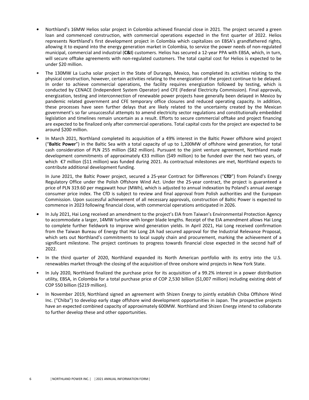- **Northland's 16MW Helios solar project in Colombia achieved financial close in 2021. The project secured a green** loan and commenced construction, with commercial operations expected in the first quarter of 2022. Helios represents Northland's first development project in Colombia which capitalizes on EBSA's grandfathered rights, allowing it to expand into the energy generation market in Colombia, to service the power needs of non-regulated municipal, commercial and industrial (C&I) customers. Helios has secured a 12-year PPA with EBSA, which, in turn, will secure offtake agreements with non-regulated customers. The total capital cost for Helios is expected to be under \$20 million.
- The 130MW La Lucha solar project in the State of Durango, Mexico, has completed its activities relating to the physical construction, however, certain activities relating to the energization of the project continue to be delayed. In order to achieve commercial operations, the facility requires energization followed by testing, which is conducted by CENACE (Independent System Operator) and CFE (Federal Electricity Commission). Final approvals, energization, testing and interconnection of renewable power projects have generally been delayed in Mexico by pandemic related government and CFE temporary office closures and reduced operating capacity. In addition, these processes have seen further delays that are likely related to the uncertainty created by the Mexican government's so far unsuccessful attempts to amend electricity sector regulations and constitutionally embedded legislation and timelines remain uncertain as a result. Efforts to secure commercial offtake and project financing are expected to be finalized only after commercial operations. Total capital costs for the project are expected to be around \$200 million.
- In March 2021, Northland completed its acquisition of a 49% interest in the Baltic Power offshore wind project ("Baltic Power") in the Baltic Sea with a total capacity of up to 1,200MW of offshore wind generation, for total cash consideration of PLN 255 million (\$82 million). Pursuant to the joint venture agreement, Northland made development commitments of approximately €33 million (\$49 million) to be funded over the next two years, of which  $\epsilon$ 7 million (\$11 million) was funded during 2021. As contractual milestones are met, Northland expects to contribute additional development funding.

In June 2021, the Baltic Power project, secured a 25-year Contract for Differences ("CfD") from Poland's Energy Regulatory Office under the Polish Offshore Wind Act. Under the 25-year contract, the project is guaranteed a price of PLN 319.60 per megawatt hour (MWh), which is adjusted to annual indexation by Poland's annual average consumer price index. The CfD is subject to review and final approval from Polish authorities and the European Commission. Upon successful achievement of all necessary approvals, construction of Baltic Power is expected to commence in 2023 following financial close, with commercial operations anticipated in 2026.

- In July 2021, Hai Long received an amendment to the project's EIA from Taiwan's Environmental Protection Agency to accommodate a larger, 14MW turbine with longer blade lengths. Receipt of the EIA amendment allows Hai Long to complete further fieldwork to improve wind generation yields. In April 2021, Hai Long received confirmation from the Taiwan Bureau of Energy that Hai Long 2A had secured approval for the Industrial Relevance Proposal, which sets out Northland's commitments to local supply chain and procurement, marking the achievement of a significant milestone. The project continues to progress towards financial close expected in the second half of 2022.
- In the third quarter of 2020, Northland expanded its North American portfolio with its entry into the U.S. renewables market through the closing of the acquisition of three onshore wind projects in New York State.
- In July 2020, Northland finalized the purchase price for its acquisition of a 99.2% interest in a power distribution utility, EBSA, in Colombia for a total purchase price of COP 2,530 billion (\$1,007 million) including existing debt of COP 550 billion (\$219 million).
- In November 2019, Northland signed an agreement with Shizen Energy to jointly establish Chiba Offshore Wind Inc. ("Chiba") to develop early stage offshore wind development opportunities in Japan. The prospective projects have an expected combined capacity of approximately 600MW. Northland and Shizen Energy intend to collaborate to further develop these and other opportunities.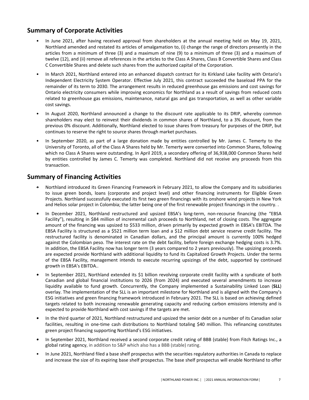## **Summary of Corporate Activities**

- In June 2021, after having received approval from shareholders at the annual meeting held on May 19, 2021, Northland amended and restated its articles of amalgamation to, (i) change the range of directors presently in the articles from a minimum of three (3) and a maximum of nine (9) to a minimum of three (3) and a maximum of twelve (12), and (ii) remove all references in the articles to the Class A Shares, Class B Convertible Shares and Class C Convertible Shares and delete such shares from the authorized capital of the Corporation.
- In March 2021, Northland entered into an enhanced dispatch contract for its Kirkland Lake facility with Ontario's Independent Electricity System Operator. Effective July 2021, this contract succeeded the baseload PPA for the remainder of its term to 2030. The arrangement results in reduced greenhouse gas emissions and cost savings for Ontario electricity consumers while improving economics for Northland as a result of savings from reduced costs related to greenhouse gas emissions, maintenance, natural gas and gas transportation, as well as other variable cost savings.
- In August 2020, Northland announced a change to the discount rate applicable to its DRIP, whereby common shareholders may elect to reinvest their dividends in common shares of Northland, to a 3% discount, from the previous 0% discount. Additionally, Northland elected to issue shares from treasury for purposes of the DRIP. but continues to reserve the right to source shares through market purchases.
- In September 2020, as part of a large donation made by entities controlled by Mr. James C. Temerty to the University of Toronto, all of the Class A Shares held by Mr. Temerty were converted into Common Shares, following which no Class A Shares were outstanding. In April 2019, a secondary offering of 36,938,000 Common Shares held by entities controlled by James C. Temerty was completed. Northland did not receive any proceeds from this transaction.

### **Summary of Financing Activities**

- **Northland introduced its Green Financing Framework in February 2021, to allow the Company and its subsidiaries** to issue green bonds, loans (corporate and project level) and other financing instruments for Eligible Green Projects. Northland successfully executed its first two green financings with its onshore wind projects in New York and Helios solar project in Colombia; the latter being one of the first renewable project financings in the country.
- In December 2021, Northland restructured and upsized EBSA's long-term, non-recourse financing (the "EBSA Facility"), resulting in \$84 million of incremental cash proceeds to Northland, net of closing costs. The aggregate amount of the financing was upsized to \$533 million, driven primarily by expected growth in EBSA's EBITDA. The EBSA Facility is structured as a \$521 million term loan and a \$12 million debt service reserve credit facility. The restructured facility is denominated in Canadian dollars, and the principal amount is currently 100% hedged against the Colombian peso. The interest rate on the debt facility, before foreign exchange hedging costs is 3.7%. In addition, the EBSA Facility now has longer term (3 years compared to 2 years previously). The upsizing proceeds are expected provide Northland with additional liquidity to fund its Capitalized Growth Projects. Under the terms of the EBSA Facility, management intends to execute recurring upsizings of the debt, supported by continued growth in EBSA's EBITDA..
- In September 2021, Northland extended its \$1 billion revolving corporate credit facility with a syndicate of both Canadian and global financial institutions to 2026 (from 2024) and executed several amendments to increase liquidity available to fund growth. Concurrently, the Company implemented a Sustainability Linked Loan (SLL) overlay. The implementation of the SLL is an important milestone for Northland and is aligned with the Company's ESG initiatives and green financing framework introduced in February 2021. The SLL is based on achieving defined targets related to both increasing renewable generating capacity and reducing carbon emissions intensity and is expected to provide Northland with cost savings if the targets are met.
- In the third quarter of 2021, Northland restructured and upsized the senior debt on a number of its Canadian solar facilities, resulting in one-time cash distributions to Northland totaling \$40 million. This refinancing constitutes green project financing supporting Northland's ESG initiatives.
- In September 2021, Northland received a second corporate credit rating of BBB (stable) from Fitch Ratings Inc., a global rating agency, in addition to S&P which also has a BBB (stable) rating.
- In June 2021, Northland filed a base shelf prospectus with the securities regulatory authorities in Canada to replace and increase the size of its expiring base shelf prospectus. The base shelf prospectus will enable Northland to offer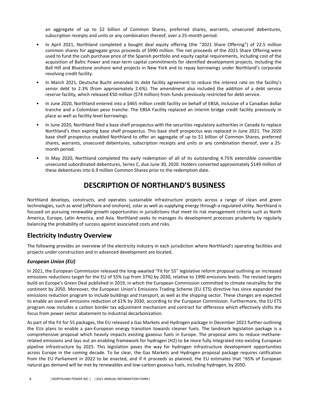<span id="page-9-0"></span>an aggregate of up to \$2 billion of Common Shares, preferred shares, warrants, unsecured debentures, subscription receipts and units or any combination thereof, over a 25-month period.

- In April 2021, Northland completed a bought deal equity offering (the "2021 Share Offering") of 22.5 million common shares for aggregate gross proceeds of \$990 million. The net proceeds of the 2021 Share Offering were used to fund the cash purchase price of the Spanish portfolio and equity capital requirements, including cost of the acquisition of Baltic Power and near-term capital commitments for identified development projects, including the Ball Hill and Bluestone onshore wind projects in New York and to repay borrowings under Northland's corporate revolving credit facility.
- In March 2021, Deutsche Bucht amended its debt facility agreement to reduce the interest rate on the facility's senior debt to 2.3% (from approximately 2.6%). The amendment also included the addition of a debt service reserve facility, which released €50 million (\$74 million) from funds previously restricted for debt service.
- In June 2020, Northland entered into a \$465 million credit facility on behalf of EBSA, inclusive of a Canadian dollar tranche and a Colombian peso tranche. The EBSA Facility replaced an interim bridge credit facility previously in place as well as facility-level borrowings.
- In June 2020, Northland filed a base shelf prospectus with the securities regulatory authorities in Canada to replace Northland's then expiring base shelf prospectus. This base shelf prospectus was replaced in June 2021. The 2020 base shelf prospectus enabled Northland to offer an aggregate of up to \$1 billion of Common Shares, preferred shares, warrants, unsecured debentures, subscription receipts and units or any combination thereof, over a 25month period.
- In May 2020, Northland completed the early redemption of all of its outstanding 4.75% extendible convertible unsecured subordinated debentures, Series C, due June 30, 2020. Holders converted approximately \$149 million of these debentures into 6.9 million Common Shares prior to the redemption date.

# **DESCRIPTION OF NORTHLAND'S BUSINESS**

Northland develops, constructs, and operates sustainable infrastructure projects across a range of clean and green technologies, such as wind (offshore and onshore), solar as well as supplying energy through a regulated utility. Northland is focused on pursuing renewable growth opportunities in jurisdictions that meet its risk management criteria such as North America, Europe, Latin America, and Asia. Northland seeks to manages its development processes prudently by regularly balancing the probability of success against associated costs and risks.

### **Electricity Industry Overview**

The following provides an overview of the electricity industry in each jurisdiction where Northland's operating facilities and projects under construction and in advanced development are located.

#### *European Union (EU)*

In 2021, the European Commission released the long-awaited "Fit for 55" legislative reform proposal outlining an increased emissions reductions target for the EU of 55% (up from 37%) by 2030, relative to 1990 emissions levels. The revised targets build on Europe's Green Deal published in 2019, in which the European Commission committed to climate neutrality for the continent by 2050. Moreover, the European Union's Emissions Trading Scheme (EU ETS) directive has since expanded the emissions reduction program to include buildings and transport, as well as the shipping sector. These changes are expected to enable an overall emissions reduction of 61% by 2030, according to the European Commission. Furthermore, the EU ETS program now includes a carbon border tax adjustment mechanism and contract for difference which effectively shifts the focus from power sector abatement to industrial decarbonization.

As part of the Fit for 55 packages, the EU released a Gas Markets and Hydrogen package in December 2021 further outlining the EUs plans to enable a pan-European energy transition towards cleaner fuels. The landmark legislation package is a comprehensive proposal which heavily impacts existing gaseous fuels in Europe. The proposal aims to reduce methanerelated emissions and lays out an enabling framework for hydrogen (H2) to be more fully integrated into existing European pipeline infrastructure by 2025. This legislation paves the way for hydrogen infrastructure development opportunities across Europe in the coming decade. To be clear, the Gas Markets and Hydrogen proposal package requires ratification from the EU Parliament in 2022 to be enacted, and if it proceeds as planned, the EU estimates that  $\sim$ 65% of European natural gas demand will be met by renewables and low-carbon gaseous fuels, including hydrogen, by 2050.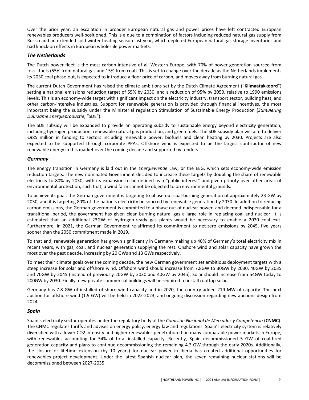Over the prior year, an escalation in broader European natural gas and power prices have left contracted European renewables producers well-positioned. This is a due to a combination of factors including reduced natural gas supply from Russia and an extended cold winter heating season last year, which depleted European natural gas storage inventories and had knock-on effects in European wholesale power markets.

#### *The Netherlands*

The Dutch power fleet is the most carbon-intensive of all Western Europe, with 70% of power generation sourced from fossil fuels (55% from natural gas and 15% from coal). This is set to change over the decade as the Netherlands implements its 2030 coal phase-out, is expected to introduce a floor price of carbon, and moves away from burning natural gas.

The current Dutch Government has raised the climate ambitions set by the Dutch Climate Agreement ("Klimaatakkoord") setting a national emissions reduction target of 55% by 2030, and a reduction of 95% by 2050, relative to 1990 emissions levels. This is an economy-wide target with significant impact on the electricity industry, transport sector, building heat, and other carbon-intensive industries. Support for renewable generation is provided through financial incentives, the most important being the subsidy under the Ministerial regulation Stimulation of Sustainable Energy Production (Stimulering *Duurzame Energieproductie*; "SDE"). 

The SDE subsidy will be expanded to provide an operating subsidy to sustainable energy beyond electricity generation, including hydrogen production, renewable natural gas production, and green fuels. The SDE subsidy plan will aim to deliver €985 million in funding to sectors including renewable power, biofuels and clean heating by 2030. Projects are also expected to be supported through corporate PPAs. Offshore wind is expected to be the largest contributor of new renewable energy in this market over the coming decade and supported by tenders.

#### *Germany*

The energy transition in Germany is laid out in the *Energiewende* Law, or the EEG, which sets economy-wide emission reduction targets. The new nominated Government decided to increase these targets by doubling the share of renewable electricity to 80% by 2030, with its expansion to be defined as a "public interest" and given priority over other areas of environmental protection, such that, a wind farm cannot be objected to on environmental grounds.

To achieve its goal, the German government is targeting to phase out coal-burning generation of approximately 23 GW by 2030, and it is targeting 80% of the nation's electricity be sourced by renewable generation by 2030. In addition to reducing carbon emissions, the German government is committed to a phase out of nuclear power, and deemed indispensable for a transitional period, the government has given clean-burning natural gas a large role in replacing coal and nuclear. It is estimated that an additional 23GW of hydrogen-ready gas plants would be necessary to enable a 2030 coal exit. Furthermore, in 2021, the German Government re-affirmed its commitment to net-zero emissions by 2045, five years sooner than the 2050 commitment made in 2019.

To that end, renewable generation has grown significantly in Germany making up 40% of Germany's total electricity mix in recent years, with gas, coal, and nuclear generation supplying the rest. Onshore wind and solar capacity have grown the most over the past decade, increasing by 20 GWs and 13 GWs respectively.

To meet their climate goals over the coming decade, the new German government set ambitious deployment targets with a steep increase for solar and offshore wind. Offshore wind should increase from 7.8GW to 30GW by 2030, 40GW by 2035 and 70GW by 2045 (instead of previously 20GW by 2030 and 40GW by 2045). Solar should increase from 54GW today to 200GW by 2030. Finally, new private commercial buildings will be required to install rooftop solar.

Germany has 7.8 GW of installed offshore wind capacity and in 2020, the country added 219 MW of capacity. The next auction for offshore wind (1.9 GW) will be held in 2022-2023, and ongoing discussion regarding new auctions design from 2024.

#### *Spain*

Spain's electricity sector operates under the regulatory body of the *Comisión Nacional de Mercados y Competencia* (CNMC). The CNMC regulates tariffs and advises on energy policy, energy law and regulations. Spain's electricity system is relatively diversified with a lower CO2 intensity and higher renewables penetration than many comparable power markets in Europe, with renewables accounting for 54% of total installed capacity. Recently, Spain decommissioned 5 GW of coal-fired generation capacity and plans to continue decommissioning the remaining 4.3 GW through the early 2020s. Additionally, the closure or lifetime extension (by 10 years) for nuclear power in Iberia has created additional opportunities for renewables project development. Under the latest Spanish nuclear plan, the seven remaining nuclear stations will be decommissioned between 2027-2035.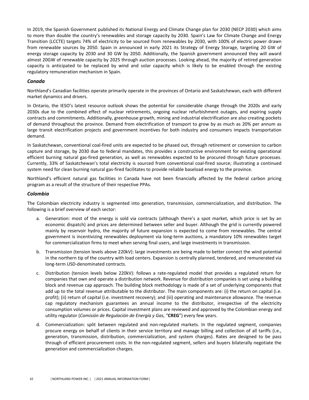In 2019, the Spanish Government published its National Energy and Climate Change plan for 2030 (NECP 2030) which aims to more than double the country's renewables and storage capacity by 2030. Spain's Law for Climate Change and Energy Transition (LCCTE) targets 74% of electricity to be sourced from renewables by 2030, with 100% of electric power drawn from renewable sources by 2050. Spain in announced in early 2021 its Strategy of Energy Storage, targeting 20 GW of energy storage capacity by 2030 and 30 GW by 2050. Additionally, the Spanish government announced they will award almost 20GW of renewable capacity by 2025 through auction processes. Looking ahead, the majority of retired generation capacity is anticipated to be replaced by wind and solar capacity which is likely to be enabled through the existing regulatory remuneration mechanism in Spain.

#### *Canada*

Northland's Canadian facilities operate primarily operate in the provinces of Ontario and Saskatchewan, each with different market dynamics and drivers.

In Ontario, the IESO's latest resource outlook shows the potential for considerable change through the 2020s and early 2030s due to the combined effect of nuclear retirements, ongoing nuclear refurbishment outages, and expiring supply contracts and commitments. Additionally, greenhouse growth, mining and industrial electrification are also creating pockets of demand throughout the province. Demand from electrification of transport to grow by as much as 20% per annum as large transit electrification projects and government incentives for both industry and consumers impacts transportation demand. 

In Saskatchewan, conventional coal-fired units are expected to be phased out, through retirement or conversion to carbon capture and storage, by 2030 due to federal mandates, this provides a constructive environment for existing operational efficient burning natural gas-fired generation, as well as renewables expected to be procured through future processes. Currently, 33% of Saskatchewan's total electricity is sourced from conventional coal-fired source; illustrating a continued system need for clean burning natural gas-fired facilitates to provide reliable baseload energy to the province.

Northland's efficient natural gas facilities in Canada have not been financially affected by the federal carbon pricing program as a result of the structure of their respective PPAs.

#### *Colombia*

The Colombian electricity industry is segmented into generation, transmission, commercialization, and distribution. The following is a brief overview of each sector:

- a. Generation: most of the energy is sold via contracts (although there's a spot market, which price is set by an economic dispatch) and prices are determined between seller and buyer. Although the grid is currently powered mainly by reservoir hydro, the majority of future expansion is expected to come from renewables. The central government is incentivizing renewables deployment via long-term auctions, a mandatory 10% renewables target for commercialization firms to meet when serving final users, and large investments in transmission.
- b. Transmission (tension levels above 220kV): large investments are being made to better connect the wind potential in the northern tip of the country with load centers. Expansion is centrally planned, tendered, and remunerated via long-term USD-denominated contracts.
- c. Distribution (tension levels below 220kV): follows a rate-regulated model that provides a regulated return for companies that own and operate a distribution network. Revenue for distribution companies is set using a building block and revenue cap approach. The building block methodology is made of a set of underlying components that add up to the total revenue attributable to the distributor. The main components are: (i) the return on capital (i.e. profit); (ii) return of capital (i.e. investment recovery); and (iii) operating and maintenance allowance. The revenue cap regulatory mechanism guarantees an annual income to the distributor, irrespective of the electricity consumption volumes or prices. Capital investment plans are reviewed and approved by the Colombian energy and utility regulator (Comisión de Regulación de Energía y Gas, "CREG") every few years.
- d. Commercialization: split between regulated and non-regulated markets. In the regulated segment, companies procure energy on behalf of clients in their service territory and manage billing and collection of all tariffs (i.e., generation, transmission, distribution, commercialization, and system charges). Rates are designed to be pass through of efficient procurement costs. In the non-regulated segment, sellers and buyers bilaterally negotiate the generation and commercialization charges.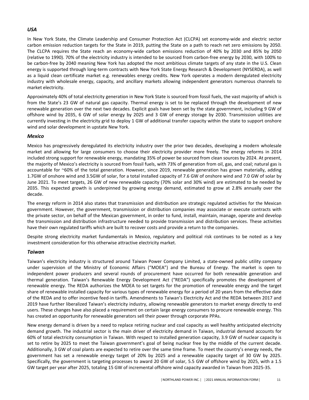#### *USA*

In New York State, the Climate Leadership and Consumer Protection Act (CLCPA) set economy-wide and electric sector carbon emission reduction targets for the State in 2019, putting the State on a path to reach net zero emissions by 2050. The CLCPA requires the State reach an economy-wide carbon emissions reduction of 40% by 2030 and 85% by 2050 (relative to 1990). 70% of the electricity industry is intended to be sourced from carbon-free energy by 2030, with 100% to be carbon-free by 2040 meaning New York has adopted the most ambitious climate targets of any state in the U.S. Clean energy is supported through long-term contracts with New York State Energy Research & Development (NYSERDA), as well as a liquid clean certificate market e.g. renewables energy credits. New York operates a modern deregulated electricity industry with wholesale energy, capacity, and ancillary markets allowing independent generators numerous channels to market electricity.

Approximately 40% of total electricity generation in New York State is sourced from fossil fuels, the vast majority of which is from the State's 23 GW of natural gas capacity. Thermal energy is set to be replaced through the development of new renewable generation over the next two decades. Explicit goals have been set by the state government, including 9 GW of offshore wind by 2035, 6 GW of solar energy by 2025 and 3 GW of energy storage by 2030. Transmission utilities are currently investing in the electricity grid to deploy 1 GW of additional transfer capacity within the state to support onshore wind and solar development in upstate New York.

#### *Mexico*

Mexico has progressively deregulated its electricity industry over the prior two decades, developing a modern wholesale market and allowing for large consumers to choose their electricity provider more freely. The energy reforms in 2014 included strong support for renewable energy, mandating 35% of power be sourced from clean sources by 2024. At present, the majority of Mexico's electricity is sourced from fossil fuels, with 73% of generation from oil, gas, and coal; natural gas is accountable for  $\sim$ 60% of the total generation. However, since 2019, renewable generation has grown materially, adding 1.7GW of onshore wind and 3.5GW of solar, for a total installed capacity of 7.6 GW of onshore wind and 7.0 GW of solar by June 2021. To meet targets, 26 GW of new renewable capacity (70% solar and 30% wind) are estimated to be needed by 2035. This expected growth is underpinned by growing energy demand, estimated to grow at 2.8% annually over the decade.

The energy reform in 2014 also states that transmission and distribution are strategic regulated activities for the Mexican government. However, the government, transmission or distribution companies may associate or execute contracts with the private sector, on behalf of the Mexican government, in order to fund, install, maintain, manage, operate and develop the transmission and distribution infrastructure needed to provide transmission and distribution services. These activities have their own regulated tariffs which are built to recover costs and provide a return to the companies.

Despite strong electricity market fundamentals in Mexico, regulatory and political risk continues to be noted as a key investment consideration for this otherwise attractive electricity market.

#### *Taiwan*

Taiwan's electricity industry is structured around Taiwan Power Company Limited, a state-owned public utility company under supervision of the Ministry of Economic Affairs ("MOEA") and the Bureau of Energy. The market is open to independent power producers and several rounds of procurement have occurred for both renewable generation and thermal generation. Taiwan's Renewable Energy Development Act ("REDA") specifically promotes the development of renewable energy. The REDA authorizes the MOEA to set targets for the promotion of renewable energy and the target share of renewable installed capacity for various types of renewable energy for a period of 20 years from the effective date of the REDA and to offer incentive feed-in tariffs. Amendments to Taiwan's Electricity Act and the REDA between 2017 and 2019 have further liberalized Taiwan's electricity industry, allowing renewable generators to market energy directly to end users. These changes have also placed a requirement on certain large energy consumers to procure renewable energy. This has created an opportunity for renewable generators sell their power through corporate PPAs.

New energy demand is driven by a need to replace retiring nuclear and coal capacity as well healthy anticipated electricity demand growth. The industrial sector is the main driver of electricity demand in Taiwan, industrial demand accounts for 60% of total electricity consumption in Taiwan. With respect to installed generation capacity, 3.9 GW of nuclear capacity is set to retire by 2025 to meet the Taiwan government's goal of being nuclear free by the middle of the current decade. Additionally, 3 GW of coal plants are expected to retire over the same time frame. To meet the country's energy needs, the government has set a renewable energy target of 20% by 2025 and a renewable capacity target of 30 GW by 2025. Specifically, the government is targeting processes to award 20 GW of solar, 5.5 GW of offshore wind by 2025, with a 1.5 GW target per year after 2025, totaling 15 GW of incremental offshore wind capacity awarded in Taiwan from 2025-35.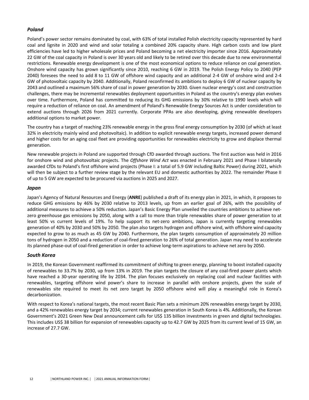#### *Poland*

Poland's power sector remains dominated by coal, with 63% of total installed Polish electricity capacity represented by hard coal and lignite in 2020 and wind and solar totaling a combined 20% capacity share. High carbon costs and low plant efficiencies have led to higher wholesale prices and Poland becoming a net electricity importer since 2016. Approximately 22 GW of the coal capacity in Poland is over 30 years old and likely to be retired over this decade due to new environmental restrictions. Renewable energy development is one of the most economical options to reduce reliance on coal generation. Onshore wind capacity has grown significantly since 2010, reaching 6 GW in 2019. The Polish Energy Policy to 2040 (PEP 2040) foresees the need to add 8 to 11 GW of offshore wind capacity and an additional 2-4 GW of onshore wind and 2-4 GW of photovoltaic capacity by 2040. Additionally, Poland reconfirmed its ambitions to deploy 6 GW of nuclear capacity by 2043 and outlined a maximum 56% share of coal in power generation by 2030. Given nuclear energy's cost and construction challenges, there may be incremental renewables deployment opportunities in Poland as the country's energy plan evolves over time. Furthermore, Poland has committed to reducing its GHG emissions by 30% relative to 1990 levels which will require a reduction of reliance on coal. An amendment of Poland's Renewable Energy Sources Act is under consideration to extend auctions through 2026 from 2021 currently. Corporate PPAs are also developing, giving renewable developers additional options to market power.

The country has a target of reaching 23% renewable energy in the gross final energy consumption by 2030 (of which at least 32% in electricity mainly wind and photovoltaic). In addition to explicit renewable energy targets, increased power demand and higher costs for an aging coal fleet are providing opportunities for renewables electricity to grow and displace thermal generation.

New renewable projects in Poland are supported through CfD awarded through auctions. The first auction was held in 2016 for onshore wind and photovoltaic projects. The *Offshore Wind Act* was enacted in February 2021 and Phase I bilaterally awarded CfDs to Poland's first offshore wind projects (Phase I: a total of 5.9 GW including Baltic Power) during 2021, which will then be subject to a further review stage by the relevant EU and domestic authorities by 2022. The remainder Phase II of up to 5 GW are expected to be procured via auctions in 2025 and 2027.

#### *Japan*

Japan's Agency of Natural Resources and Energy (ANRE) published a draft of its energy plan in 2021, in which, it proposes to reduce GHG emissions by 46% by 2030 relative to 2013 levels, up from an earlier goal of 26%, with the possibility of additional measures to achieve a 50% reduction. Japan's Basic Energy Plan unveiled the countries ambitions to achieve netzero greenhouse gas emissions by 2050, along with a call to more than triple renewables share of power generation to at least 50% vs current levels of 19%. To help support its net-zero ambitions, Japan is currently targeting renewables generation of 40% by 2030 and 50% by 2050. The plan also targets hydrogen and offshore wind, with offshore wind capacity expected to grow to as much as 45 GW by 2040. Furthermore, the plan targets consumption of approximately 20 million tons of hydrogen in 2050 and a reduction of coal-fired generation to 26% of total generation. Japan may need to accelerate its planned phase-out of coal-fired generation in order to achieve long-term aspirations to achieve net zero by 2050.

#### *South Korea*

In 2019, the Korean Government reaffirmed its commitment of shifting to green energy, planning to boost installed capacity of renewables to 33.7% by 2030, up from 13% in 2019. The plan targets the closure of any coal-fired power plants which have reached a 30-year operating life by 2034. The plan focuses exclusively on replacing coal and nuclear facilities with renewables, targeting offshore wind power's share to increase in parallel with onshore projects, given the scale of renewables site required to meet its net zero target by 2050 offshore wind will play a meaningful role in Korea's decarbonization.

With respect to Korea's national targets, the most recent Basic Plan sets a minimum 20% renewables energy target by 2030, and a 42% renewables energy target by 2034; current renewables generation in South Korea is 4%. Additionally, the Korean Government's 2021 Green New Deal announcement calls for US\$ 135 billion investments in green and digital technologies. This includes US\$ 38 billion for expansion of renewables capacity up to 42.7 GW by 2025 from its current level of 15 GW, an increase of 27.7 GW.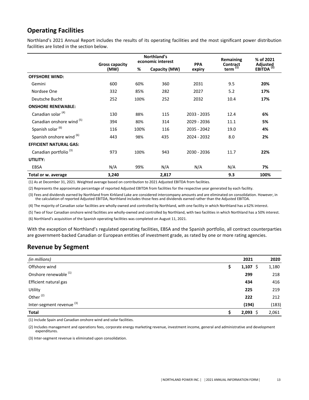## **Operating Facilities**

Northland's 2021 Annual Report includes the results of its operating facilities and the most significant power distribution facilities are listed in the section below.

|                                   | Northland's<br>economic interest<br><b>Gross capacity</b> |      | <b>PPA</b>    | Remaining<br><b>Contract</b> | % of 2021     |                                   |
|-----------------------------------|-----------------------------------------------------------|------|---------------|------------------------------|---------------|-----------------------------------|
|                                   | (MW)                                                      | %    | Capacity (MW) | expiry                       | term $^{(1)}$ | Adjusted<br>EBITDA <sup>(2)</sup> |
| <b>OFFSHORE WIND:</b>             |                                                           |      |               |                              |               |                                   |
| Gemini                            | 600                                                       | 60%  | 360           | 2031                         | 9.5           | 20%                               |
| Nordsee One                       | 332                                                       | 85%  | 282           | 2027                         | 5.2           | 17%                               |
| Deutsche Bucht                    | 252                                                       | 100% | 252           | 2032                         | 10.4          | 17%                               |
| <b>ONSHORE RENEWABLE:</b>         |                                                           |      |               |                              |               |                                   |
| Canadian solar <sup>(4)</sup>     | 130                                                       | 88%  | 115           | 2033 - 2035                  | 12.4          | 6%                                |
| Canadian onshore wind (5)         | 394                                                       | 80%  | 314           | 2029 - 2036                  | 11.1          | 5%                                |
| Spanish solar (6)                 | 116                                                       | 100% | 116           | 2035 - 2042                  | 19.0          | 4%                                |
| Spanish onshore wind (6)          | 443                                                       | 98%  | 435           | 2024 - 2032                  | 8.0           | 2%                                |
| <b>EFFICIENT NATURAL GAS:</b>     |                                                           |      |               |                              |               |                                   |
| Canadian portfolio <sup>(3)</sup> | 973                                                       | 100% | 943           | 2030 - 2036                  | 11.7          | 22%                               |
| UTILITY:                          |                                                           |      |               |                              |               |                                   |
| EBSA                              | N/A                                                       | 99%  | N/A           | N/A                          | N/A           | 7%                                |
| Total or w. average               | 3,240                                                     |      | 2,817         |                              | 9.3           | 100%                              |

(1) As at December 31, 2021. Weighted average based on contribution to 2021 Adjusted EBITDA from facilities.

(2) Represents the approximate percentage of reported Adjusted EBITDA from facilities for the respective year generated by each facility.

(3) Fees and dividends earned by Northland from Kirkland Lake are considered intercompany amounts and are eliminated on consolidation. However, in the calculation of reported Adjusted EBITDA, Northland includes those fees and dividends earned rather than the Adjusted EBITDA.

(4) The majority of Canadian solar facilities are wholly-owned and controlled by Northland, with one facility in which Northland has a 62% interest.

(5) Two of four Canadian onshore wind facilities are wholly-owned and controlled by Northland, with two facilities in which Northland has a 50% interest.

(6) Northland's acquisition of the Spanish operating facilities was completed on August 11, 2021.

With the exception of Northland's regulated operating facilities, EBSA and the Spanish portfolio, all contract counterparties are government-backed Canadian or European entities of investment grade, as rated by one or more rating agencies.

### **Revenue by Segment**

| (in millions)                        | 2021        | 2020  |
|--------------------------------------|-------------|-------|
| Offshore wind                        | 1,107<br>-S | 1,180 |
| Onshore renewable <sup>(1)</sup>     | 299         | 218   |
| Efficient natural gas                | 434         | 416   |
| Utility                              | 225         | 219   |
| Other <sup>(2)</sup>                 | 222         | 212   |
| Inter-segment revenue <sup>(3)</sup> | (194)       | (183) |
| <b>Total</b>                         | 2,093       | 2,061 |

(1) Include Spain and Canadian onshore wind and solar facilities.

(2) Includes management and operations fees, corporate energy marketing revenue, investment income, general and administrative and development expenditures. 

(3) Inter-segment revenue is eliminated upon consolidation.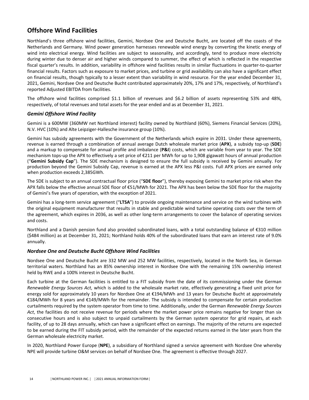## **Offshore Wind Facilities**

Northland's three offshore wind facilities, Gemini, Nordsee One and Deutsche Bucht, are located off the coasts of the Netherlands and Germany. Wind power generation harnesses renewable wind energy by converting the kinetic energy of wind into electrical energy. Wind facilities are subject to seasonality, and accordingly, tend to produce more electricity during winter due to denser air and higher winds compared to summer, the effect of which is reflected in the respective fiscal quarter's results. In addition, variability in offshore wind facilities results in similar fluctuations in quarter-to-quarter financial results. Factors such as exposure to market prices, and turbine or grid availability can also have a significant effect on financial results, though typically to a lesser extent than variability in wind resource. For the year ended December 31, 2021, Gemini, Nordsee One and Deutsche Bucht contributed approximately 20%, 17% and 17%, respectively, of Northland's reported Adjusted EBITDA from facilities.

The offshore wind facilities comprised \$1.1 billion of revenues and \$6.2 billion of assets representing 53% and 48%, respectively, of total revenues and total assets for the year ended and as at December 31, 2021.

#### *Gemini Offshore Wind Facility*

Gemini is a 600MW (360MW net Northland interest) facility owned by Northland (60%), Siemens Financial Services (20%), N.V. HVC (10%) and Alte Leipziger-Hallesche insurance group (10%).

Gemini has subsidy agreements with the Government of the Netherlands which expire in 2031. Under these agreements, revenue is earned through a combination of annual average Dutch wholesale market price (APX), a subsidy top-up (SDE) and a markup to compensate for annual profile and imbalance (P&I) costs, which are variable from year to year. The SDE mechanism tops-up the APX to effectively a set price of €211 per MWh for up to 1,908 gigawatt hours of annual production ("Gemini Subsidy Cap"). The SDE mechanism is designed to ensure the full subsidy is received by Gemini annually. For production beyond the Gemini Subsidy Cap, revenue is earned at the APX less P&I costs. Full APX prices are earned only when production exceeds 2,385GWh.

The SDE is subject to an annual contractual floor price ("**SDE floor**"), thereby exposing Gemini to market price risk when the APX falls below the effective annual SDE floor of €51/MWh for 2021. The APX has been below the SDE floor for the majority of Gemini's five years of operation, with the exception of 2021.

Gemini has a long-term service agreement ("LTSA") to provide ongoing maintenance and service on the wind turbines with the original equipment manufacturer that results in stable and predictable wind turbine operating costs over the term of the agreement, which expires in 2036, as well as other long-term arrangements to cover the balance of operating services and costs.

Northland and a Danish pension fund also provided subordinated loans, with a total outstanding balance of €310 million (\$484 million) as at December 31, 2021; Northland holds 40% of the subordinated loans that earn an interest rate of 9.0% annually. 

#### *Nordsee One and Deutsche Bucht Offshore Wind Facilities*

Nordsee One and Deutsche Bucht are 332 MW and 252 MW facilities, respectively, located in the North Sea, in German territorial waters. Northland has an 85% ownership interest in Nordsee One with the remaining 15% ownership interest held by RWE and a 100% interest in Deutsche Bucht.

Each turbine at the German facilities is entitled to a FIT subsidy from the date of its commissioning under the German *Renewable Energy Sources Act*, which is added to the wholesale market rate, effectively generating a fixed unit price for energy sold for approximately 10 years for Nordsee One at €194/MWh and 13 years for Deutsche Bucht at approximately €184/MWh for 8 years and €149/MWh for the remainder. The subsidy is intended to compensate for certain production curtailments required by the system operator from time to time. Additionally, under the German *Renewable Energy Sources* Act, the facilities do not receive revenue for periods where the market power price remains negative for longer than six consecutive hours and is also subject to unpaid curtailments by the German system operator for grid repairs, at each facility, of up to 28 days annually, which can have a significant effect on earnings. The majority of the returns are expected to be earned during the FIT subsidy period, with the remainder of the expected returns earned in the later years from the German wholesale electricity market.

In 2020, Northland Power Europe (NPE), a subsidiary of Northland signed a service agreement with Nordsee One whereby NPE will provide turbine O&M services on behalf of Nordsee One. The agreement is effective through 2027.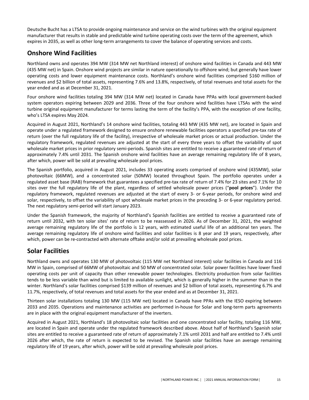Deutsche Bucht has a LTSA to provide ongoing maintenance and service on the wind turbines with the original equipment manufacturer that results in stable and predictable wind turbine operating costs over the term of the agreement, which expires in 2035, as well as other long-term arrangements to cover the balance of operating services and costs.

## **Onshore Wind Facilities**

Northland owns and operates 394 MW (314 MW net Northland interest) of onshore wind facilities in Canada and 443 MW (435 MW net) in Spain. Onshore wind projects are similar in nature operationally to offshore wind; but generally have lower operating costs and lower equipment maintenance costs. Northland's onshore wind facilities comprised \$160 million of revenues and \$2 billion of total assets, representing 7.6% and 13.8%, respectively, of total revenues and total assets for the year ended and as at December 31, 2021.

Four onshore wind facilities totaling 394 MW (314 MW net) located in Canada have PPAs with local government-backed system operators expiring between 2029 and 2036. Three of the four onshore wind facilities have LTSAs with the wind turbine original equipment manufacturer for terms lasting the term of the facility's PPA, with the exception of one facility, who's LTSA expires May 2024.

Acquired in August 2021, Northland's 14 onshore wind facilities, totaling 443 MW (435 MW net), are located in Spain and operate under a regulated framework designed to ensure onshore renewable facilities operators a specified pre-tax rate of return (over the full regulatory life of the facility), irrespective of wholesale market prices or actual production. Under the regulatory framework, regulated revenues are adjusted at the start of every three years to offset the variability of spot wholesale market prices in prior regulatory semi-periods. Spanish sites are entitled to receive a guaranteed rate of return of approximately 7.4% until 2031. The Spanish onshore wind facilities have an average remaining regulatory life of 8 years, after which, power will be sold at prevailing wholesale pool prices.

The Spanish portfolio, acquired in August 2021, includes 33 operating assets comprised of onshore wind (435MW), solar photovoltaic (66MW), and a concentrated solar (50MW) located throughout Spain. The portfolio operates under a regulated asset base (RAB) framework that guarantees a specified pre-tax rate of return of 7.4% for 23 sites and 7.1% for 10 sites over the full regulatory life of the plant, regardless of settled wholesale power prices ("**pool prices**"). Under the regulatory framework, regulated revenues are adjusted at the start of every 3- or 6-year periods, for onshore wind and solar, respectively, to offset the variability of spot wholesale market prices in the preceding 3- or 6-year regulatory period. The next regulatory semi-period will start January 2023.

Under the Spanish framework, the majority of Northland's Spanish facilities are entitled to receive a guaranteed rate of return until 2032, with ten solar sites' rate of return to be reassessed in 2026. As of December 31, 2021, the weighted average remaining regulatory life of the portfolio is 12 years, with estimated useful life of an additional ten years. The average remaining regulatory life of onshore wind facilities and solar facilities is 8 year and 19 years, respectively, after which, power can be re-contracted with alternate offtake and/or sold at prevailing wholesale pool prices.

### **Solar Facilities**

Northland owns and operates 130 MW of photovoltaic (115 MW net Northland interest) solar facilities in Canada and 116 MW in Spain, comprised of 66MW of photovoltaic and 50 MW of concentrated solar. Solar power facilities have lower fixed operating costs per unit of capacity than other renewable power technologies. Electricity production from solar facilities tends to be less variable than wind but is limited to available sunlight, which is generally higher in the summer than in the winter. Northland's solar facilities comprised \$139 million of revenues and \$2 billion of total assets, representing 6.7% and 11.7%, respectively, of total revenues and total assets for the year ended and as at December 31, 2021.

Thirteen solar installations totaling 130 MW (115 MW net) located in Canada have PPAs with the IESO expiring between 2033 and 2035. Operations and maintenance activities are performed in-house for Solar and long-term parts agreements are in place with the original equipment manufacturer of the inverters.

Acquired in August 2021, Northland's 18 photovoltaic solar facilities and one concentrated solar facility, totaling 116 MW, are located in Spain and operate under the regulated framework described above. About half of Northland's Spanish solar sites are entitled to receive a guaranteed rate of return of approximately 7.1% until 2031 and half are entitled to 7.4% until 2026 after which, the rate of return is expected to be revised. The Spanish solar facilities have an average remaining regulatory life of 19 years, after which, power will be sold at prevailing wholesale pool prices.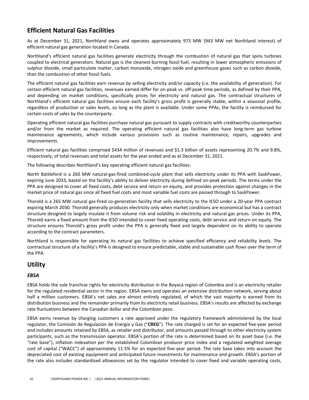## **Efficient Natural Gas Facilities**

As at December 31, 2021, Northland owns and operates approximately 973 MW (943 MW net Northland interest) of efficient natural gas generation located in Canada.

Northland's efficient natural gas facilities generate electricity through the combustion of natural gas that spins turbines coupled to electrical generators. Natural gas is the cleanest-burning fossil fuel, resulting in lower atmospheric emissions of sulphur dioxide, small particulate matter, carbon monoxide, nitrogen oxide and greenhouse gases such as carbon dioxide, than the combustion of other fossil fuels.

The efficient natural gas facilities earn revenue by selling electricity and/or capacity (i.e. the availability of generation). For certain efficient natural gas facilities, revenues earned differ for on-peak vs. off-peak time periods, as defined by their PPA, and depending on market conditions, specifically prices for electricity and natural gas. The contractual structures of Northland's efficient natural gas facilities ensure each facility's gross profit is generally stable, within a seasonal profile, regardless of production or sales levels, so long as the plant is available. Under some PPAs, the facility is reimbursed for certain costs of sales by the counterparty.

Operating efficient natural gas facilities purchase natural gas pursuant to supply contracts with creditworthy counterparties and/or from the market as required. The operating efficient natural gas facilities also have long-term gas turbine maintenance agreements, which include various provisions such as routine maintenance, repairs, upgrades and improvements. 

Efficient natural gas facilities comprised \$434 million of revenues and \$1.3 billion of assets representing 20.7% and 9.8%, respectively, of total revenues and total assets for the year ended and as at December 31, 2021.

The following describes Northland's key operating efficient natural gas facilities:

North Battleford is a 260 MW natural-gas-fired combined-cycle plant that sells electricity under its PPA with SaskPower, expiring June 2033, based on the facility's ability to deliver electricity during defined on-peak periods. The terms under the PPA are designed to cover all fixed costs, debt service and return on equity, and provides protection against changes in the market price of natural gas since all fixed fuel costs and most variable fuel costs are passed through to SaskPower.

Thorold is a 265 MW natural gas-fired co-generation facility that sells electricity to the IESO under a 20-year PPA contract expiring March 2030. Thorold generally produces electricity only when market conditions are economical but has a contract structure designed to largely insulate it from volume risk and volatility in electricity and natural gas prices. Under its PPA, Thorold earns a fixed amount from the IESO intended to cover fixed operating costs, debt service and return on equity. The structure ensures Thorold's gross profit under the PPA is generally fixed and largely dependent on its ability to operate according to the contract parameters.

Northland is responsible for operating its natural gas facilities to achieve specified efficiency and reliability levels. The contractual structure of a facility's PPA is designed to ensure predictable, stable and sustainable cash flows over the term of the PPA.

### **Utility**

#### *EBSA*

EBSA holds the sole franchise rights for electricity distribution in the Boyacá region of Colombia and is an electricity retailer for the regulated residential sector in the region. EBSA owns and operates an extensive distribution network, serving about half a million customers. EBSA's net sales are almost entirely regulated, of which the vast majority is earned from its distribution business and the remainder primarily from its electricity retail business. EBSA's results are affected by exchange rate fluctuations between the Canadian dollar and the Colombian peso.

EBSA earns revenue by charging customers a rate approved under the regulatory framework administered by the local regulator, the Comisión de Regulación de Energía y Gas ("CREG"). The rate charged is set for an expected five-year period and includes amounts retained by EBSA, as retailer and distributor, and amounts passed through to other electricity system participants, such as the transmission operator. EBSA's portion of the rate is determined based on its asset base (i.e. the "rate base"), inflation indexation per the established Colombian producer price index and a regulated weighted average cost of capital ("WACC") of approximately 11.5% for an expected five-year period. The rate base takes into account the depreciated cost of existing equipment and anticipated future investments for maintenance and growth. EBSA's portion of the rate also includes standardized allowances set by the regulator intended to cover fixed and variable operating costs,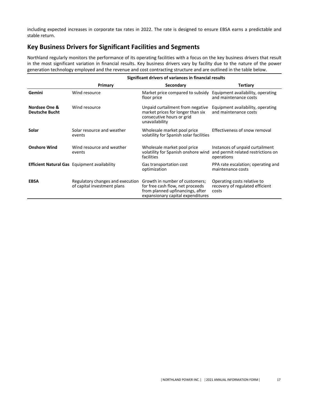including expected increases in corporate tax rates in 2022. The rate is designed to ensure EBSA earns a predictable and stable return.

## **Key Business Drivers for Significant Facilities and Segments**

Northland regularly monitors the performance of its operating facilities with a focus on the key business drivers that result in the most significant variation in financial results. Key business drivers vary by facility due to the nature of the power generation technology employed and the revenue and cost contracting structure and are outlined in the table below.

|                                        | Significant drivers of variances in financial results           |                                                                                                                                             |                                                                                     |  |  |
|----------------------------------------|-----------------------------------------------------------------|---------------------------------------------------------------------------------------------------------------------------------------------|-------------------------------------------------------------------------------------|--|--|
|                                        | Primary                                                         | Secondary                                                                                                                                   | <b>Tertiary</b>                                                                     |  |  |
| Gemini                                 | Wind resource                                                   | Market price compared to subsidy<br>floor price                                                                                             | Equipment availability, operating<br>and maintenance costs                          |  |  |
| Nordsee One &<br><b>Deutsche Bucht</b> | Wind resource                                                   | Unpaid curtailment from negative<br>market prices for longer than six<br>consecutive hours or grid<br>unavailability                        | Equipment availability, operating<br>and maintenance costs                          |  |  |
| Solar                                  | Solar resource and weather<br>events                            | Wholesale market pool price<br>volatility for Spanish solar facilities                                                                      | Effectiveness of snow removal                                                       |  |  |
| <b>Onshore Wind</b>                    | Wind resource and weather<br>events                             | Wholesale market pool price<br>volatility for Spanish onshore wind<br>facilities                                                            | Instances of unpaid curtailment<br>and permit related restrictions on<br>operations |  |  |
|                                        | <b>Efficient Natural Gas</b> Equipment availability             | Gas transportation cost<br>optimization                                                                                                     | PPA rate escalation; operating and<br>maintenance costs                             |  |  |
| <b>EBSA</b>                            | Regulatory changes and execution<br>of capital investment plans | Growth in number of customers;<br>for free cash flow, net proceeds<br>from planned upfinancings, after<br>expansionary capital expenditures | Operating costs relative to<br>recovery of regulated efficient<br>costs             |  |  |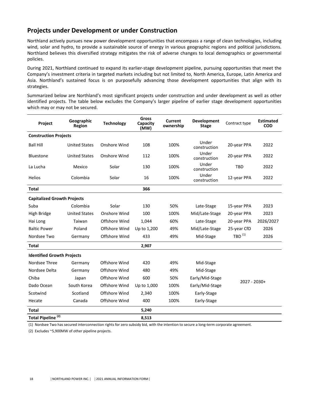### **Projects under Development or under Construction**

Northland actively pursues new power development opportunities that encompass a range of clean technologies, including wind, solar and hydro, to provide a sustainable source of energy in various geographic regions and political jurisdictions. Northland believes this diversified strategy mitigates the risk of adverse changes to local demographics or governmental policies.

During 2021, Northland continued to expand its earlier-stage development pipeline, pursuing opportunities that meet the Company's investment criteria in targeted markets including but not limited to, North America, Europe, Latin America and Asia. Northland's sustained focus is on purposefully advancing those development opportunities that align with its strategies.

Summarized below are Northland's most significant projects under construction and under development as well as other identified projects. The table below excludes the Company's larger pipeline of earlier stage development opportunities which may or may not be secured.

| Project                            | Geographic<br>Region | <b>Technology</b> | Gross<br>Capacity<br>(MW) | Current<br>ownership | Development<br><b>Stage</b> | Contract type        | <b>Estimated</b><br><b>COD</b> |
|------------------------------------|----------------------|-------------------|---------------------------|----------------------|-----------------------------|----------------------|--------------------------------|
| <b>Construction Projects</b>       |                      |                   |                           |                      |                             |                      |                                |
| <b>Ball Hill</b>                   | <b>United States</b> | Onshore Wind      | 108                       | 100%                 | Under<br>construction       | 20-year PPA          | 2022                           |
| Bluestone                          | <b>United States</b> | Onshore Wind      | 112                       | 100%                 | Under<br>construction       | 20-year PPA          | 2022                           |
| La Lucha                           | Mexico               | Solar             | 130                       | 100%                 | Under<br>construction       | <b>TBD</b>           | 2022                           |
| <b>Helios</b>                      | Colombia             | Solar             | 16                        | 100%                 | Under<br>construction       | 12-year PPA          | 2022                           |
| <b>Total</b>                       |                      |                   | 366                       |                      |                             |                      |                                |
| <b>Capitalized Growth Projects</b> |                      |                   |                           |                      |                             |                      |                                |
| Suba                               | Colombia             | Solar             | 130                       | 50%                  | Late-Stage                  | 15-year PPA          | 2023                           |
| High Bridge                        | <b>United States</b> | Onshore Wind      | 100                       | 100%                 | Mid/Late-Stage              | 20-year PPA          | 2023                           |
| Hai Long                           | Taiwan               | Offshore Wind     | 1,044                     | 60%                  | Late-Stage                  | 20-year PPA          | 2026/2027                      |
| <b>Baltic Power</b>                | Poland               | Offshore Wind     | Up to 1,200               | 49%                  | Mid/Late-Stage              | 25-year CfD          | 2026                           |
| Nordsee Two                        | Germany              | Offshore Wind     | 433                       | 49%                  | Mid-Stage                   | $TBD$ <sup>(1)</sup> | 2026                           |
| <b>Total</b>                       |                      |                   | 2,907                     |                      |                             |                      |                                |
| <b>Identified Growth Projects</b>  |                      |                   |                           |                      |                             |                      |                                |
| Nordsee Three                      | Germany              | Offshore Wind     | 420                       | 49%                  | Mid-Stage                   |                      |                                |
| Nordsee Delta                      | Germany              | Offshore Wind     | 480                       | 49%                  | Mid-Stage                   |                      |                                |
| Chiba                              | Japan                | Offshore Wind     | 600                       | 50%                  | Early/Mid-Stage             |                      |                                |
| Dado Ocean                         | South Korea          | Offshore Wind     | Up to 1,000               | 100%                 | Early/Mid-Stage             | $2027 - 2030+$       |                                |
| Scotwind                           | Scotland             | Offshore Wind     | 2,340                     | 100%                 | Early-Stage                 |                      |                                |
| Hecate                             | Canada               | Offshore Wind     | 400                       | 100%                 | Early-Stage                 |                      |                                |
| <b>Total</b>                       |                      |                   | 5,240                     |                      |                             |                      |                                |
| Total Pipeline <sup>(2)</sup>      |                      |                   | 8,513                     |                      |                             |                      |                                |

(1) Nordsee Two has secured interconnection rights for zero subsidy bid, with the intention to secure a long-term corporate agreement.

(2) Excludes ~5,900MW of other pipeline projects.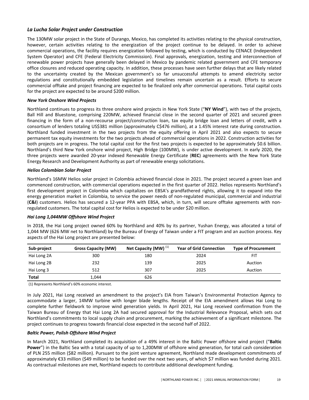#### *La Lucha Solar Project under Construction*

The 130MW solar project in the State of Durango, Mexico, has completed its activities relating to the physical construction, however, certain activities relating to the energization of the project continue to be delayed. In order to achieve commercial operations, the facility requires energization followed by testing, which is conducted by CENACE (Independent System Operator) and CFE (Federal Electricity Commission). Final approvals, energization, testing and interconnection of renewable power projects have generally been delayed in Mexico by pandemic related government and CFE temporary office closures and reduced operating capacity. In addition, these processes have seen further delays that are likely related to the uncertainty created by the Mexican government's so far unsuccessful attempts to amend electricity sector regulations and constitutionally embedded legislation and timelines remain uncertain as a result. Efforts to secure commercial offtake and project financing are expected to be finalized only after commercial operations. Total capital costs for the project are expected to be around \$200 million.

#### *New York Onshore Wind Projects*

Northland continues to progress its three onshore wind projects in New York State ("NY Wind"), with two of the projects, Ball Hill and Bluestone, comprising 220MW, achieved financial close in the second quarter of 2021 and secured green financing in the form of a non-recourse project/construction loan, tax equity bridge loan and letters of credit, with a consortium of lenders totaling US\$381 million (approximately C\$476 million), at a 1.45% interest rate during construction. Northland funded investment in the two projects from the equity offering in April 2021 and also expects to secure permanent tax equity investments for the two projects ahead of commercial operations in 2022. Construction activities for both projects are in progress. The total capital cost for the first two projects is expected to be approximately \$0.6 billion. Northland's third New York onshore wind project, High Bridge (100MW), is under active development. In early 2020, the three projects were awarded 20-year indexed Renewable Energy Certificate (REC) agreements with the New York State Energy Research and Development Authority as part of renewable energy solicitations.

#### *Helios Colombian Solar Project*

Northland's 16MW Helios solar project in Colombia achieved financial close in 2021. The project secured a green loan and commenced construction, with commercial operations expected in the first quarter of 2022. Helios represents Northland's first development project in Colombia which capitalizes on EBSA's grandfathered rights, allowing it to expand into the energy generation market in Colombia, to service the power needs of non-regulated municipal, commercial and industrial (C&I) customers. Helios has secured a 12-year PPA with EBSA, which, in turn, will secure offtake agreements with nonregulated customers. The total capital cost for Helios is expected to be under \$20 million.

#### *Hai Long 1,044MW Offshore Wind Project*

In 2018, the Hai Long project owned 60% by Northland and 40% by its partner, Yushan Energy, was allocated a total of 1,044 MW (626 MW net to Northland) by the Bureau of Energy of Taiwan under a FIT program and an auction process. Key aspects of the Hai Long project are presented below:

| Sub-project  | <b>Gross Capacity (MW)</b> | Net Capacity (MW) <sup>(1)</sup> | <b>Year of Grid Connection</b> | <b>Type of Procurement</b> |
|--------------|----------------------------|----------------------------------|--------------------------------|----------------------------|
| Hai Long 2A  | 300                        | 180                              | 2024                           | FIT                        |
| Hai Long 2B  | 232                        | 139                              | 2025                           | Auction                    |
| Hai Long 3   | 512                        | 307                              | 2025                           | Auction                    |
| <b>Total</b> | 1.044                      | 626                              |                                |                            |

(1) Represents Northland's 60% economic interest.

In July 2021, Hai Long received an amendment to the project's EIA from Taiwan's Environmental Protection Agency to accommodate a larger, 14MW turbine with longer blade lengths. Receipt of the EIA amendment allows Hai Long to complete further fieldwork to improve wind generation yields. In April 2021, Hai Long received confirmation from the Taiwan Bureau of Energy that Hai Long 2A had secured approval for the Industrial Relevance Proposal, which sets out Northland's commitments to local supply chain and procurement, marking the achievement of a significant milestone. The project continues to progress towards financial close expected in the second half of 2022.

#### *Baltic Power, Polish Offshore Wind Project*

In March 2021, Northland completed its acquisition of a 49% interest in the Baltic Power offshore wind project ("Baltic **Power**") in the Baltic Sea with a total capacity of up to 1,200MW of offshore wind generation, for total cash consideration of PLN 255 million (\$82 million). Pursuant to the joint venture agreement, Northland made development commitments of approximately €33 million (\$49 million) to be funded over the next two years, of which \$7 million was funded during 2021. As contractual milestones are met, Northland expects to contribute additional development funding.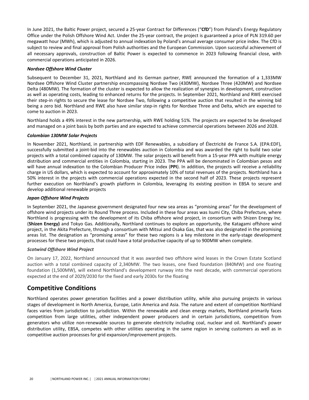In June 2021, the Baltic Power project, secured a 25-year Contract for Differences ("CfD") from Poland's Energy Regulatory Office under the Polish Offshore Wind Act. Under the 25-year contract, the project is guaranteed a price of PLN 319.60 per megawatt hour (MWh), which is adjusted to annual indexation by Poland's annual average consumer price index. The CfD is subject to review and final approval from Polish authorities and the European Commission. Upon successful achievement of all necessary approvals, construction of Baltic Power is expected to commence in 2023 following financial close, with commercial operations anticipated in 2026.

#### *Nordsee Offshore Wind Cluster*

Subsequent to December 31, 2021, Northland and its German partner, RWE announced the formation of a 1,333MW Nordsee Offshore Wind Cluster partnership encompassing Nordsee Two (430MW), Nordsee Three (420MW) and Nordsee Delta (480MW). The formation of the cluster is expected to allow the realization of synergies in development, construction as well as operating costs, leading to enhanced returns for the projects. In September 2021, Northland and RWE exercised their step-in rights to secure the lease for Nordsee Two, following a competitive auction that resulted in the winning bid being a zero bid. Northland and RWE also have similar step-in rights for Nordsee Three and Delta, which are expected to come to auction in 2023.

Northland holds a 49% interest in the new partnership, with RWE holding 51%. The projects are expected to be developed and managed on a joint basis by both parties and are expected to achieve commercial operations between 2026 and 2028.

#### *Colombian 130MW Solar Projects*

In November 2021, Northland, in partnership with EDF Renewables, a subsidiary of Électricité de France S.A. (EPA:EDF), successfully submitted a joint-bid into the renewables auction in Colombia and was awarded the right to build two solar projects with a total combined capacity of 130MW. The solar projects will benefit from a 15-year PPA with multiple energy distribution and commercial entities in Colombia, starting in 2023. The PPA will be denominated in Colombian pesos and will have annual indexation to the Colombian Producer Price index (PPI). In addition, the projects will receive a reliability charge in US dollars, which is expected to account for approximately 10% of total revenues of the projects. Northland has a 50% interest in the projects with commercial operations expected in the second half of 2023. These projects represent further execution on Northland's growth platform in Colombia, leveraging its existing position in EBSA to secure and develop additional renewable projects

#### *Japan Offshore Wind Projects*

In September 2021, the Japanese government designated four new sea areas as "promising areas" for the development of offshore wind projects under its Round Three process. Included in these four areas was Isumi City, Chiba Prefecture, where Northland is progressing with the development of its Chiba offshore wind project, in consortium with Shizen Energy Inc. **(Shizen Energy)** and Tokyo Gas. Additionally, Northland continues to explore an opportunity, the Katagami offshore wind project, in the Akita Prefecture, through a consortium with Mitsui and Osaka Gas, that was also designated in the promising areas list. The designation as "promising areas" for these two regions is a key milestone in the early-stage development processes for these two projects, that could have a total productive capacity of up to 900MW when complete.

#### *Scotwind Offshore Wind Project*

On January 17, 2022, Northland announced that it was awarded two offshore wind leases in the Crown Estate Scotland auction with a total combined capacity of 2,340MW. The two leases, one fixed foundation (840MW) and one floating foundation (1,500MW), will extend Northland's development runway into the next decade, with commercial operations expected at the end of 2029/2030 for the fixed and early 2030s for the floating

### **Competitive Conditions**

Northland operates power generation facilities and a power distribution utility, while also pursuing projects in various stages of development in North America, Europe, Latin America and Asia. The nature and extent of competition Northland faces varies from jurisdiction to jurisdiction. Within the renewable and clean energy markets, Northland primarily faces competition from large utilities, other independent power producers and in certain jurisdictions, competition from generators who utilize non-renewable sources to generate electricity including coal, nuclear and oil. Northland's power distribution utility, EBSA, competes with other utilities operating in the same region in serving customers as well as in competitive auction processes for grid expansion/improvement projects.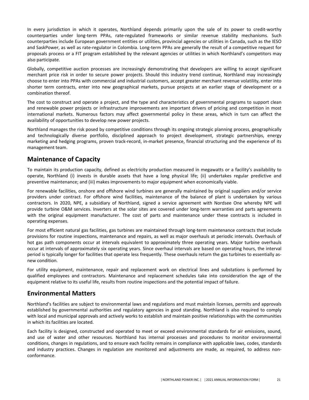In every jurisdiction in which it operates, Northland depends primarily upon the sale of its power to credit-worthy counterparties under long-term PPAs, rate-regulated frameworks or similar revenue stability mechanisms. Such counterparties include European government entities or utilities, provincial agencies or utilities in Canada, such as the IESO and SaskPower, as well as rate-regulator in Colombia. Long-term PPAs are generally the result of a competitive request for proposals process or a FIT program established by the relevant agencies or utilities in which Northland's competitors may also participate.

Globally, competitive auction processes are increasingly demonstrating that developers are willing to accept significant merchant price risk in order to secure power projects. Should this industry trend continue, Northland may increasingly choose to enter into PPAs with commercial and industrial customers, accept greater merchant revenue volatility, enter into shorter term contracts, enter into new geographical markets, pursue projects at an earlier stage of development or a combination thereof.

The cost to construct and operate a project, and the type and characteristics of governmental programs to support clean and renewable power projects or infrastructure improvements are important drivers of pricing and competition in most international markets. Numerous factors may affect governmental policy in these areas, which in turn can affect the availability of opportunities to develop new power projects.

Northland manages the risk posed by competitive conditions through its ongoing strategic planning process, geographically and technologically diverse portfolio, disciplined approach to project development, strategic partnerships, energy marketing and hedging programs, proven track-record, in-market presence, financial structuring and the experience of its management team.

### **Maintenance of Capacity**

To maintain its production capacity, defined as electricity production measured in megawatts or a facility's availability to operate, Northland (i) invests in durable assets that have a long physical life; (ii) undertakes regular predictive and preventive maintenance; and (iii) makes improvements to major equipment when economically viable.

For renewable facilities, onshore and offshore wind turbines are generally maintained by original suppliers and/or service providers under contract. For offshore wind facilities, maintenance of the balance of plant is undertaken by various contractors. In 2020, NPE, a subsidiary of Northland, signed a service agreement with Nordsee One whereby NPE will provide turbine O&M services. Inverters at the solar sites are covered under long-term warranties and parts agreements with the original equipment manufacturer. The cost of parts and maintenance under these contracts is included in operating expenses.

For most efficient natural gas facilities, gas turbines are maintained through long-term maintenance contracts that include provisions for routine inspections, maintenance and repairs, as well as major overhauls at periodic intervals. Overhauls of hot gas path components occur at intervals equivalent to approximately three operating years. Major turbine overhauls occur at intervals of approximately six operating years. Since overhaul intervals are based on operating hours, the interval period is typically longer for facilities that operate less frequently. These overhauls return the gas turbines to essentially asnew condition. 

For utility equipment, maintenance, repair and replacement work on electrical lines and substations is performed by qualified employees and contractors. Maintenance and replacement schedules take into consideration the age of the equipment relative to its useful life, results from routine inspections and the potential impact of failure.

### **Environmental Matters**

Northland's facilities are subject to environmental laws and regulations and must maintain licenses, permits and approvals established by governmental authorities and regulatory agencies in good standing. Northland is also required to comply with local and municipal approvals and actively works to establish and maintain positive relationships with the communities in which its facilities are located.

Each facility is designed, constructed and operated to meet or exceed environmental standards for air emissions, sound, and use of water and other resources. Northland has internal processes and procedures to monitor environmental conditions, changes in regulations, and to ensure each facility remains in compliance with applicable laws, codes, standards and industry practices. Changes in regulation are monitored and adjustments are made, as required, to address nonconformance.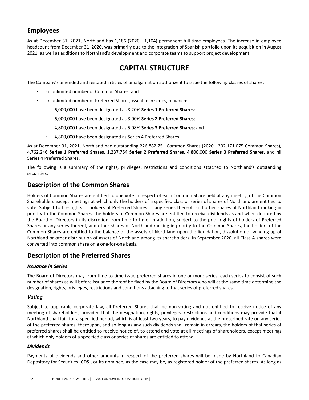## <span id="page-23-0"></span>**Employees**

As at December 31, 2021, Northland has 1,186 (2020 - 1,104) permanent full-time employees. The increase in employee headcount from December 31, 2020, was primarily due to the integration of Spanish portfolio upon its acquisition in August 2021, as well as additions to Northland's development and corporate teams to support project development.

## **CAPITAL STRUCTURE**

The Company's amended and restated articles of amalgamation authorize it to issue the following classes of shares:

- an unlimited number of Common Shares; and
- an unlimited number of Preferred Shares, issuable in series, of which:
	- 6,000,000 have been designated as 3.20% **Series 1 Preferred Shares**;
	- 6,000,000 have been designated as 3.00% **Series 2 Preferred Shares**;
	- 4,800,000 have been designated as 5.08% **Series 3 Preferred Shares**; and
	- 4,800,000 have been designated as Series 4 Preferred Shares.

As at December 31, 2021, Northland had outstanding 226,882,751 Common Shares (2020 - 202,171,075 Common Shares), 4,762,246 **Series 1 Preferred Shares**, 1,237,754 **Series 2 Preferred Shares**, 4,800,000 **Series 3 Preferred Shares**, and nil Series 4 Preferred Shares.

The following is a summary of the rights, privileges, restrictions and conditions attached to Northland's outstanding securities: 

### **Description of the Common Shares**

Holders of Common Shares are entitled to one vote in respect of each Common Share held at any meeting of the Common Shareholders except meetings at which only the holders of a specified class or series of shares of Northland are entitled to vote. Subject to the rights of holders of Preferred Shares or any series thereof, and other shares of Northland ranking in priority to the Common Shares, the holders of Common Shares are entitled to receive dividends as and when declared by the Board of Directors in its discretion from time to time. In addition, subject to the prior rights of holders of Preferred Shares or any series thereof, and other shares of Northland ranking in priority to the Common Shares, the holders of the Common Shares are entitled to the balance of the assets of Northland upon the liquidation, dissolution or winding-up of Northland or other distribution of assets of Northland among its shareholders. In September 2020, all Class A shares were converted into common share on a one-for-one basis.

### **Description of the Preferred Shares**

#### *Issuance in Series*

The Board of Directors may from time to time issue preferred shares in one or more series, each series to consist of such number of shares as will before issuance thereof be fixed by the Board of Directors who will at the same time determine the designation, rights, privileges, restrictions and conditions attaching to that series of preferred shares.

#### *Voting*

Subject to applicable corporate law, all Preferred Shares shall be non-voting and not entitled to receive notice of any meeting of shareholders, provided that the designation, rights, privileges, restrictions and conditions may provide that if Northland shall fail, for a specified period, which is at least two years, to pay dividends at the prescribed rate on any series of the preferred shares, thereupon, and so long as any such dividends shall remain in arrears, the holders of that series of preferred shares shall be entitled to receive notice of, to attend and vote at all meetings of shareholders, except meetings at which only holders of a specified class or series of shares are entitled to attend.

#### *Dividends*

Payments of dividends and other amounts in respect of the preferred shares will be made by Northland to Canadian Depository for Securities (CDS), or its nominee, as the case may be, as registered holder of the preferred shares. As long as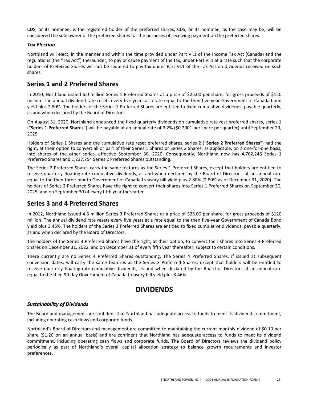<span id="page-24-0"></span>CDS, or its nominee, is the registered holder of the preferred shares, CDS, or its nominee, as the case may be, will be considered the sole owner of the preferred shares for the purposes of receiving payment on the preferred shares.

#### *Tax Election*

Northland will elect, in the manner and within the time provided under Part VI.1 of the Income Tax Act (Canada) and the regulations (the "Tax Act") thereunder, to pay or cause payment of the tax, under Part VI.1 at a rate such that the corporate holders of Preferred Shares will not be required to pay tax under Part VI.1 of the Tax Act on dividends received on such shares.

### **Series 1 and 2 Preferred Shares**

In 2010, Northland issued 6.0 million Series 1 Preferred Shares at a price of \$25.00 per share, for gross proceeds of \$150 million. The annual dividend rate resets every five years at a rate equal to the then five-year Government of Canada bond yield plus 2.80%. The holders of the Series 1 Preferred Shares are entitled to fixed cumulative dividends, payable quarterly, as and when declared by the Board of Directors.

On August 31, 2020, Northland announced the fixed quarterly dividends on cumulative rate rest preferred shares, series 1 ("Series 1 Preferred Shares") will be payable at an annual rate of 3.2% (\$0.2001 per share per quarter) until September 29, 2025. 

Holders of Series 1 Shares and the cumulative rate reset preferred shares, series 2 ("Series 2 Preferred Shares") had the right, at their option to convert all or part of their Series 1 Shares or Series 2 Shares, as applicable, on a one-for-one basis, into shares of the other series, effective September 30, 2020. Consequently, Northland now has 4,762,246 Series 1 Preferred Shares and 1,237,754 Series 2 Preferred Shares outstanding.

The Series 2 Preferred Shares carry the same features as the Series 1 Preferred Shares, except that holders are entitled to receive quarterly floating-rate cumulative dividends, as and when declared by the Board of Directors, at an annual rate equal to the then three-month Government of Canada treasury bill yield plus 2.80% (2.80% as of December 31, 2020). The holders of Series 2 Preferred Shares have the right to convert their shares into Series 1 Preferred Shares on September 30, 2025, and on September 30 of every fifth year thereafter.

### **Series 3 and 4 Preferred Shares**

In 2012, Northland issued 4.8 million Series 3 Preferred Shares at a price of \$25.00 per share, for gross proceeds of \$120 million. The annual dividend rate resets every five years at a rate equal to the then five-year Government of Canada Bond yield plus 3.46%. The holders of the Series 3 Preferred Shares are entitled to fixed cumulative dividends, payable quarterly, as and when declared by the Board of Directors.

The holders of the Series 3 Preferred Shares have the right, at their option, to convert their shares into Series 4 Preferred Shares on December 31, 2022, and on December 31 of every fifth year thereafter, subject to certain conditions.

There currently are no Series 4 Preferred Shares outstanding. The Series 4 Preferred Shares, if issued at subsequent conversion dates, will carry the same features as the Series 3 Preferred Shares, except that holders will be entitled to receive quarterly floating-rate cumulative dividends, as and when declared by the Board of Directors at an annual rate equal to the then 90-day Government of Canada treasury bill yield plus 3.46%.

## **DIVIDENDS**

#### *Sustainability of Dividends*

The Board and management are confident that Northland has adequate access to funds to meet its dividend commitment, including operating cash flows and corporate funds.

Northland's Board of Directors and management are committed to maintaining the current monthly dividend of \$0.10 per share (\$1.20 on an annual basis) and are confident that Northland has adequate access to funds to meet its dividend commitment, including operating cash flows and corporate funds. The Board of Directors reviews the dividend policy periodically as part of Northland's overall capital allocation strategy to balance growth requirements and investor preferences.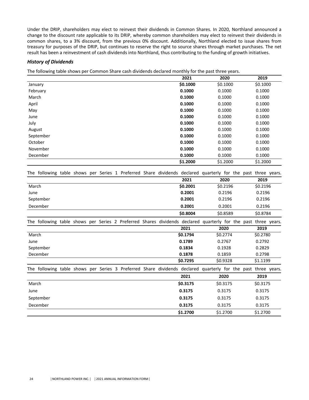Under the DRIP, shareholders may elect to reinvest their dividends in Common Shares. In 2020, Northland announced a change to the discount rate applicable to its DRIP, whereby common shareholders may elect to reinvest their dividends in common shares, to a 3% discount, from the previous 0% discount. Additionally, Northland elected to issue shares from treasury for purposes of the DRIP, but continues to reserve the right to source shares through market purchases. The net result has been a reinvestment of cash dividends into Northland, thus contributing to the funding of growth initiatives.

#### *History of Dividends*

The following table shows per Common Share cash dividends declared monthly for the past three years.

|           | 2021     | 2020     | 2019     |
|-----------|----------|----------|----------|
| January   | \$0.1000 | \$0.1000 | \$0.1000 |
| February  | 0.1000   | 0.1000   | 0.1000   |
| March     | 0.1000   | 0.1000   | 0.1000   |
| April     | 0.1000   | 0.1000   | 0.1000   |
| May       | 0.1000   | 0.1000   | 0.1000   |
| June      | 0.1000   | 0.1000   | 0.1000   |
| July      | 0.1000   | 0.1000   | 0.1000   |
| August    | 0.1000   | 0.1000   | 0.1000   |
| September | 0.1000   | 0.1000   | 0.1000   |
| October   | 0.1000   | 0.1000   | 0.1000   |
| November  | 0.1000   | 0.1000   | 0.1000   |
| December  | 0.1000   | 0.1000   | 0.1000   |
|           | \$1.2000 | \$1.2000 | \$1,2000 |

The following table shows per Series 1 Preferred Share dividends declared quarterly for the past three years. **2021 2020 2019**

| March     | \$0.2001 | \$0.2196 | \$0.2196 |
|-----------|----------|----------|----------|
| June      | 0.2001   | 0.2196   | 0.2196   |
| September | 0.2001   | 0.2196   | 0.2196   |
| December  | 0.2001   | 0.2001   | 0.2196   |
|           | \$0.8004 | \$0.8589 | \$0.8784 |

The following table shows per Series 2 Preferred Shares dividends declared quarterly for the past three years.

|                                                                                                               | 2021     | 2020     | 2019     |
|---------------------------------------------------------------------------------------------------------------|----------|----------|----------|
| March                                                                                                         | \$0.1794 | \$0.2774 | \$0.2780 |
| June                                                                                                          | 0.1789   | 0.2767   | 0.2792   |
| September                                                                                                     | 0.1834   | 0.1928   | 0.2829   |
| December                                                                                                      | 0.1878   | 0.1859   | 0.2798   |
|                                                                                                               | \$0.7295 | \$0.9328 | \$1.1199 |
| The following table shows per Series 3 Preferred Share dividends declared quarterly for the past three years. |          |          |          |
|                                                                                                               | 2021     | 2020     | 2019     |
| March                                                                                                         | \$0.3175 | \$0.3175 | \$0.3175 |
| June                                                                                                          | 0.3175   | 0.3175   | 0.3175   |
| September                                                                                                     | 0.3175   | 0.3175   | 0.3175   |
| December                                                                                                      | 0.3175   | 0.3175   | 0.3175   |
|                                                                                                               | \$1.2700 | \$1,2700 | \$1,2700 |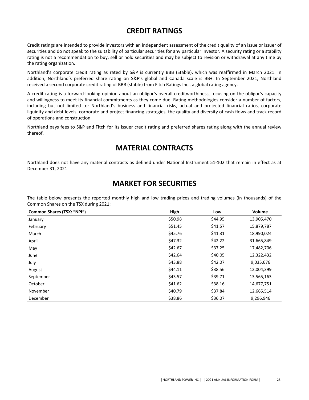# **CREDIT RATINGS**

<span id="page-26-0"></span>Credit ratings are intended to provide investors with an independent assessment of the credit quality of an issue or issuer of securities and do not speak to the suitability of particular securities for any particular investor. A security rating or a stability rating is not a recommendation to buy, sell or hold securities and may be subject to revision or withdrawal at any time by the rating organization.

Northland's corporate credit rating as rated by S&P is currently BBB (Stable), which was reaffirmed in March 2021. In addition, Northland's preferred share rating on S&P's global and Canada scale is BB+. In September 2021, Northland received a second corporate credit rating of BBB (stable) from Fitch Ratings Inc., a global rating agency.

A credit rating is a forward-looking opinion about an obligor's overall creditworthiness, focusing on the obligor's capacity and willingness to meet its financial commitments as they come due. Rating methodologies consider a number of factors, including but not limited to: Northland's business and financial risks, actual and projected financial ratios, corporate liquidity and debt levels, corporate and project financing strategies, the quality and diversity of cash flows and track record of operations and construction.

Northland pays fees to S&P and Fitch for its issuer credit rating and preferred shares rating along with the annual review thereof.

## **MATERIAL CONTRACTS**

Northland does not have any material contracts as defined under National Instrument 51-102 that remain in effect as at December 31, 2021.

## **MARKET FOR SECURITIES**

The table below presents the reported monthly high and low trading prices and trading volumes (in thousands) of the Common Shares on the TSX during 2021:

| Common Shares (TSX: "NPI") | High    | Low     | Volume     |
|----------------------------|---------|---------|------------|
| January                    | \$50.98 | \$44.95 | 13,905,470 |
| February                   | \$51.45 | \$41.57 | 15,879,787 |
| March                      | \$45.76 | \$41.31 | 18,990,024 |
| April                      | \$47.32 | \$42.22 | 31,665,849 |
| May                        | \$42.67 | \$37.25 | 17,482,706 |
| June                       | \$42.64 | \$40.05 | 12,322,432 |
| July                       | \$43.88 | \$42.07 | 9,035,676  |
| August                     | \$44.11 | \$38.56 | 12,004,399 |
| September                  | \$43.57 | \$39.71 | 13,565,163 |
| October                    | \$41.62 | \$38.16 | 14,677,751 |
| November                   | \$40.79 | \$37.84 | 12,665,514 |
| December                   | \$38.86 | \$36.07 | 9,296,946  |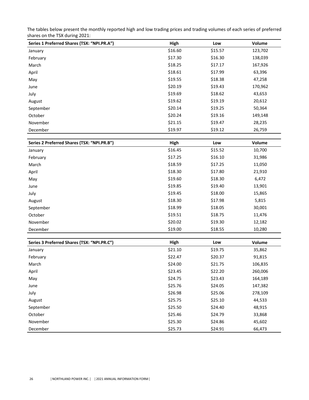The tables below present the monthly reported high and low trading prices and trading volumes of each series of preferred shares on the TSX during 2021:

| Series 1 Preferred Shares (TSX: "NPI.PR.A") | High    | Low     | Volume  |
|---------------------------------------------|---------|---------|---------|
| January                                     | \$16.60 | \$15.57 | 123,702 |
| February                                    | \$17.30 | \$16.30 | 138,039 |
| March                                       | \$18.25 | \$17.17 | 167,926 |
| April                                       | \$18.61 | \$17.99 | 63,396  |
| May                                         | \$19.55 | \$18.38 | 47,258  |
| June                                        | \$20.19 | \$19.43 | 170,962 |
| July                                        | \$19.69 | \$18.62 | 43,653  |
| August                                      | \$19.62 | \$19.19 | 20,612  |
| September                                   | \$20.14 | \$19.25 | 50,364  |
| October                                     | \$20.24 | \$19.16 | 149,148 |
| November                                    | \$21.15 | \$19.47 | 28,235  |
| December                                    | \$19.97 | \$19.12 | 26,759  |

| Series 2 Preferred Shares (TSX: "NPI.PR.B") | High    | Low     | Volume  |
|---------------------------------------------|---------|---------|---------|
| January                                     | \$16.45 | \$15.52 | 10,700  |
| February                                    | \$17.25 | \$16.10 | 31,986  |
| March                                       | \$18.59 | \$17.25 | 11,050  |
| April                                       | \$18.30 | \$17.80 | 21,910  |
| May                                         | \$19.60 | \$18.30 | 6,472   |
| June                                        | \$19.85 | \$19.40 | 13,901  |
| July                                        | \$19.45 | \$18.00 | 15,865  |
| August                                      | \$18.30 | \$17.98 | 5,815   |
| September                                   | \$18.99 | \$18.05 | 30,001  |
| October                                     | \$19.51 | \$18.75 | 11,476  |
| November                                    | \$20.02 | \$19.30 | 12,182  |
| December                                    | \$19.00 | \$18.55 | 10,280  |
|                                             |         |         |         |
| Series 3 Preferred Shares (TSX: "NPI.PR.C") | High    | Low     | Volume  |
| January                                     | \$21.10 | \$19.75 | 35,862  |
| February                                    | \$22.47 | \$20.37 | 91,815  |
| March                                       | \$24.00 | \$21.75 | 106,835 |
| April                                       | \$23.45 | \$22.20 | 260,006 |
| May                                         | \$24.75 | \$23.43 | 164,189 |
| June                                        | \$25.76 | \$24.05 | 147,382 |
| July                                        | \$26.98 | \$25.06 | 278,109 |
| August                                      | \$25.75 | \$25.10 | 44,533  |
| September                                   | \$25.50 | \$24.40 | 48,915  |
| October                                     | \$25.46 | \$24.79 | 33,868  |
| November                                    | \$25.30 | \$24.86 | 45,602  |
| December                                    | \$25.73 | \$24.91 | 66,473  |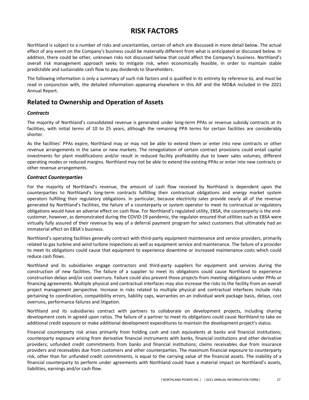# **RISK FACTORS**

<span id="page-28-0"></span>Northland is subject to a number of risks and uncertainties, certain of which are discussed in more detail below. The actual effect of any event on the Company's business could be materially different from what is anticipated or discussed below. In addition, there could be other, unknown risks not discussed below that could affect the Company's business. Northland's overall risk management approach seeks to mitigate risk, when economically feasible, in order to maintain stable predictable and sustainable cash flow to pay dividends to Shareholders.

The following information is only a summary of such risk factors and is qualified in its entirety by reference to, and must be read in conjunction with, the detailed information appearing elsewhere in this AIF and the MD&A included in the 2021 Annual Report.

### **Related to Ownership and Operation of Assets**

#### *Contracts*

The majority of Northland's consolidated revenue is generated under long-term PPAs or revenue subsidy contracts at its facilities, with initial terms of 10 to 25 years, although the remaining PPA terms for certain facilities are considerably shorter. 

As the facilities' PPAs expire, Northland may or may not be able to extend them or enter into new contracts or other revenue arrangements in the same or new markets. The renegotiation of certain contract provisions could entail capital investments for plant modifications and/or result in reduced facility profitability due to lower sales volumes, different operating modes or reduced margins. Northland may not be able to extend the existing PPAs or enter into new contracts or other revenue arrangements.

#### *Contract Counterparties*

For the majority of Northland's revenue, the amount of cash flow received by Northland is dependent upon the counterparties to Northland's long-term contracts fulfilling their contractual obligations and energy market system operators fulfilling their regulatory obligations. In particular, because electricity sales provide nearly all of the revenue generated by Northland's facilities, the failure of a counterparty or system operator to meet its contractual or regulatory obligations would have an adverse effect on cash flow. For Northland's regulated utility, EBSA, the counterparty is the endcustomer, however, as demonstrated during the COVID-19 pandemic, the regulator ensured that utilities such as EBSA were virtually fully assured of their revenue by way of a deferral payment program for select customers that ultimately had an immaterial effect on EBSA's business.

Northland's operating facilities generally contract with third-party equipment maintenance and service providers, primarily related to gas turbine and wind turbine inspections as well as equipment service and maintenance. The failure of a provider to meet its obligations could cause that equipment to experience downtime or increased maintenance costs which could reduce cash flows.

Northland and its subsidiaries engage contractors and third-party suppliers for equipment and services during the construction of new facilities. The failure of a supplier to meet its obligations could cause Northland to experience construction delays and/or cost overruns. Failure could also prevent those projects from meeting obligations under PPAs or financing agreements. Multiple physical and contractual interfaces may also increase the risks to the facility from an overall project management perspective. Increase in risks related to multiple physical and contractual interfaces include risks pertaining to coordination, compatibility errors, liability caps, warranties on an individual work package basis, delays, cost overruns, performance failures and litigation.

Northland and its subsidiaries contract with partners to collaborate on development projects, including sharing development costs in agreed upon ratios. The failure of a partner to meet its obligations could cause Northland to take on additional credit exposure or make additional development expenditures to maintain the development project's status.

Financial counterparty risk arises primarily from holding cash and cash equivalents at banks and financial institutions; counterparty exposure arising from derivative financial instruments with banks, financial institutions and other derivative providers; unfunded credit commitments from banks and financial institutions; claims receivables due from insurance providers and receivables due from customers and other counterparties. The maximum financial exposure to counterparty risk, other than for unfunded credit commitments, is equal to the carrying value of the financial assets. The inability of a financial counterparty to perform under agreements with Northland could have a material impact on Northland's assets, liabilities, earnings and/or cash flow.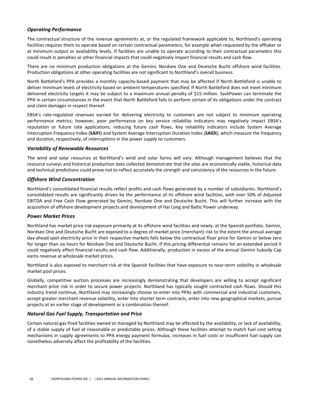#### *Operating Performance*

The contractual structure of the revenue agreements at, or the regulated framework applicable to, Northland's operating facilities requires them to operate based on certain contractual parameters, for example when requested by the offtaker or at minimum output or availability levels. If facilities are unable to operate according to their contractual parameters this could result in penalties or other financial impacts that could negatively impact financial results and cash flow.

There are no minimum production obligations at the Gemini, Nordsee One and Deutsche Bucht offshore wind facilities. Production obligations at other operating facilities are not significant to Northland's overall business.

North Battleford's PPA provides a monthly capacity-based payment that may be affected if North Battleford is unable to deliver minimum levels of electricity based on ambient temperatures specified. If North Battleford does not meet minimum delivered electricity targets it may be subject to a maximum annual penalty of \$15 million. SaskPower can terminate the PPA in certain circumstances in the event that North Battleford fails to perform certain of its obligations under the contract and claim damages in respect thereof.

EBSA's rate-regulated revenues earned for delivering electricity to customers are not subject to minimum operating performance metrics; however, poor performance on key service reliability indicators may negatively impact EBSA's reputation or future rate applications, reducing future cash flows. Key reliability indicators include System Average Interruption Frequency Index (SAIFI) and System Average Interruption Duration Index (SAIDI), which measure the frequency and duration, respectively, of interruptions in the power supply to customers.

#### *Variability of Renewable Resources*

The wind and solar resources at Northland's wind and solar farms will vary. Although management believes that the resource surveys and historical production data collected demonstrate that the sites are economically viable, historical data and technical predictions could prove not to reflect accurately the strength and consistency of the resources in the future.

#### *Offshore Wind Concentration*

Northland's consolidated financial results reflect profits and cash flows generated by a number of subsidiaries. Northland's consolidated results are significantly driven by the performance of its offshore wind facilities, with over 50% of Adjusted EBITDA and Free Cash Flow generated by Gemini, Nordsee One and Deutsche Bucht. This will further increase with the acquisition of offshore development projects and development of Hai Long and Baltic Power underway.

#### *Power Market Prices*

Northland has market price risk exposure primarily at its offshore wind facilities and newly, at the Spanish portfolio. Gemini, Nordsee One and Deutsche Bucht are exposed to a degree of market price (merchant) risk to the extent the annual average day-ahead spot electricity price in their respective markets falls below the contractual floor price for Gemini or below zero for longer than six hours for Nordsee One and Deutsche Bucht. If this pricing differential remains for an extended period it could negatively affect financial results and cash flow. Additionally, production in excess of the annual Gemini Subsidy Cap earns revenue at wholesale market prices.

Northland is also exposed to merchant risk at the Spanish facilities that have exposure to near-term volatility in wholesale market pool prices.

Globally, competitive auction processes are increasingly demonstrating that developers are willing to accept significant merchant price risk in order to secure power projects. Northland has typically sought contracted cash flows. Should this industry trend continue, Northland may increasingly choose to enter into PPAs with commercial and industrial customers, accept greater merchant revenue volatility, enter into shorter term contracts, enter into new geographical markets, pursue projects at an earlier stage of development or a combination thereof.

#### *Natural Gas Fuel Supply, Transportation and Price*

Certain natural-gas-fired facilities owned or managed by Northland may be affected by the availability, or lack of availability, of a stable supply of fuel at reasonable or predictable prices. Although these facilities attempt to match fuel cost setting mechanisms in supply agreements to PPA energy payment formulas, increases in fuel costs or insufficient fuel supply can nonetheless adversely affect the profitability of the facilities.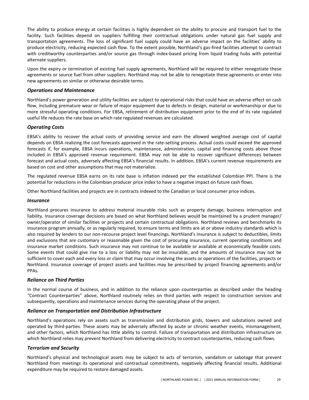The ability to produce energy at certain facilities is highly dependent on the ability to procure and transport fuel to the facility. Such facilities depend on suppliers fulfilling their contractual obligations under natural gas fuel supply and transportation agreements. The loss of significant fuel supply could have an adverse impact on the facilities' ability to produce electricity, reducing expected cash flow. To the extent possible, Northland's gas-fired facilities attempt to contract with creditworthy counterparties and/or source gas through index-based pricing from liquid trading hubs with potential alternate suppliers.

Upon the expiry or termination of existing fuel supply agreements, Northland will be required to either renegotiate these agreements or source fuel from other suppliers. Northland may not be able to renegotiate these agreements or enter into new agreements on similar or otherwise desirable terms.

#### *Operations and Maintenance*

Northland's power generation and utility facilities are subject to operational risks that could have an adverse effect on cash flow, including premature wear or failure of major equipment due to defects in design, material or workmanship or due to more stressful operating conditions. For EBSA, retirement of distribution equipment prior to the end of its rate regulated useful life reduces the rate base on which rate regulated revenues are calculated.

#### *Operating Costs*

EBSA's ability to recover the actual costs of providing service and earn the allowed weighted average cost of capital depends on EBSA realizing the cost forecasts approved in the rate-setting process. Actual costs could exceed the approved forecasts if, for example, EBSA incurs operations, maintenance, administration, capital and financing costs above those included in EBSA's approved revenue requirement. EBSA may not be able to recover significant differences between forecast and actual costs, adversely affecting EBSA's financial results. In addition, EBSA's current revenue requirements are based on cost and other assumptions that may not materialize.

The regulated revenue EBSA earns on its rate base is inflation indexed per the established Colombian PPI. There is the potential for reductions in the Colombian producer price index to have a negative impact on future cash flows.

Other Northland facilities and projects are in contracts indexed to the Canadian or local consumer price indices.

#### *Insurance*

Northland procures insurance to address material insurable risks such as property damage, business interruption and liability. Insurance coverage decisions are based on what Northland believes would be maintained by a prudent manager/ owner/operator of similar facilities or projects and certain contractual obligations. Northland reviews and benchmarks its insurance program annually, or as regularly required, to ensure terms and limits are at or above industry standards which is also required by lenders to our non-recourse project level financings. Northland's insurance is subject to deductibles, limits and exclusions that are customary or reasonable given the cost of procuring insurance, current operating conditions and insurance market conditions. Such insurance may not continue to be available or available at economically feasible costs. Some events that could give rise to a loss or liability may not be insurable, and the amounts of insurance may not be sufficient to cover each and every loss or claim that may occur involving the assets or operations of the facilities, projects or Northland. Insurance coverage of project assets and facilities may be prescribed by project financing agreements and/or PPAs.

#### *Reliance on Third Parties*

In the normal course of business, and in addition to the reliance upon counterparties as described under the heading "Contract Counterparties" above, Northland routinely relies on third parties with respect to construction services and subsequently, operations and maintenance services during the operating phase of the project.

#### **Reliance on Transportation and Distribution Infrastructure**

Northland's operations rely on assets such as transmission and distribution grids, towers and substations owned and operated by third-parties. These assets may be adversely affected by acute or chronic weather events, mismanagement, and other factors, which Northland has little ability to control. Failure of transportation and distribution infrastructure on which Northland relies may prevent Northland from delivering electricity to contract counterparties, reducing cash flows.

#### *Terrorism and Security*

Northland's physical and technological assets may be subject to acts of terrorism, vandalism or sabotage that prevent Northland from meetings its operational and contractual commitments, negatively affecting financial results. Additional expenditure may be required to restore damaged assets.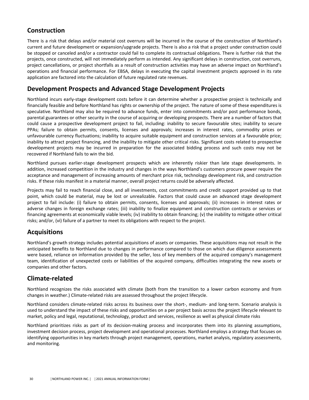## **Construction**

There is a risk that delays and/or material cost overruns will be incurred in the course of the construction of Northland's current and future development or expansion/upgrade projects. There is also a risk that a project under construction could be stopped or canceled and/or a contractor could fail to complete its contractual obligations. There is further risk that the projects, once constructed, will not immediately perform as intended. Any significant delays in construction, cost overruns, project cancellations, or project shortfalls as a result of construction activities may have an adverse impact on Northland's operations and financial performance. For EBSA, delays in executing the capital investment projects approved in its rate application are factored into the calculation of future regulated rate revenues.

## **Development Prospects and Advanced Stage Development Projects**

Northland incurs early-stage development costs before it can determine whether a prospective project is technically and financially feasible and before Northland has rights or ownership of the project. The nature of some of these expenditures is speculative. Northland may also be required to advance funds, enter into commitments and/or post performance bonds, parental guarantees or other security in the course of acquiring or developing prospects. There are a number of factors that could cause a prospective development project to fail, including: inability to secure favourable sites; inability to secure PPAs; failure to obtain permits, consents, licenses and approvals; increases in interest rates, commodity prices or unfavourable currency fluctuations; inability to acquire suitable equipment and construction services at a favourable price; inability to attract project financing, and the inability to mitigate other critical risks. Significant costs related to prospective development projects may be incurred in preparation for the associated bidding process and such costs may not be recovered if Northland fails to win the bid.

Northland pursues earlier-stage development prospects which are inherently riskier than late stage developments. In addition, increased competition in the industry and changes in the ways Northland's customers procure power require the acceptance and management of increasing amounts of merchant price risk, technology development risk, and construction risks. If these risks manifest in a material manner, overall project returns could be adversely affected.

Projects may fail to reach financial close, and all investments, cost commitments and credit support provided up to that point, which could be material, may be lost or unrealizable. Factors that could cause an advanced stage development project to fail include: (i) failure to obtain permits, consents, licenses and approvals; (ii) increases in interest rates or adverse changes in foreign exchange rates; (iii) inability to finalize equipment and construction contracts or services or financing agreements at economically viable levels; (iv) inability to obtain financing; (v) the inability to mitigate other critical risks; and/or, (vi) failure of a partner to meet its obligations with respect to the project.

## **Acquisitions**

Northland's growth strategy includes potential acquisitions of assets or companies. These acquisitions may not result in the anticipated benefits to Northland due to changes in performance compared to those on which due diligence assessments were based, reliance on information provided by the seller, loss of key members of the acquired company's management team, identification of unexpected costs or liabilities of the acquired company, difficulties integrating the new assets or companies and other factors.

## **Climate-related**

Northland recognizes the risks associated with climate (both from the transition to a lower carbon economy and from changes in weather.) Climate-related risks are assessed throughout the project lifecycle.

Northland considers climate-related risks across its business over the short-, medium- and long-term. Scenario analysis is used to understand the impact of these risks and opportunities on a per project basis across the project lifecycle relevant to market, policy and legal, reputational, technology, product and services, resilience as well as physical climate risks

Northland prioritizes risks as part of its decision-making process and incorporates them into its planning assumptions, investment decision process, project development and operational processes. Northland employs a strategy that focuses on identifying opportunities in key markets through project management, operations, market analysis, regulatory assessments, and monitoring.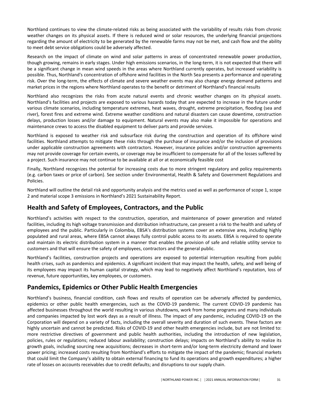Northland continues to view the climate-related risks as being associated with the variability of results risks from chronic weather changes on its physical assets. If there is reduced wind or solar resources, the underlying financial projections regarding the amount of electricity to be generated by the renewable farms may not be met, and cash flow and the ability to meet debt service obligations could be adversely affected.

Research on the impact of climate on wind and solar patterns in areas of concentrated renewable power production, though growing, remains in early stages. Under high emissions scenarios, in the long-term, it is not expected that there will be a significant change in mean wind speeds in the areas where Northland currently operates, but increased variability is possible. Thus, Northland's concentration of offshore wind facilities in the North Sea presents a performance and operating risk. Over the long-term, the effects of climate and severe weather events may also change energy demand patterns and market prices in the regions where Northland operates to the benefit or detriment of Northland's financial results

Northland also recognizes the risks from acute natural events and chronic weather changes on its physical assets. Northland's facilities and projects are exposed to various hazards today that are expected to increase in the future under various climate scenarios, including temperature extremes, heat waves, drought, extreme precipitation, flooding (sea and river), forest fires and extreme wind. Extreme weather conditions and natural disasters can cause downtime, construction delays, production losses and/or damage to equipment. Natural events may also make it impossible for operations and maintenance crews to access the disabled equipment to deliver parts and provide services.

Northland is exposed to weather risk and subsurface risk during the construction and operation of its offshore wind facilities. Northland attempts to mitigate these risks through the purchase of insurance and/or the inclusion of provisions under applicable construction agreements with contractors. However, insurance policies and/or construction agreements may not provide coverage for certain events, or coverage may be insufficient to compensate for all of the losses suffered by a project. Such insurance may not continue to be available at all or at economically feasible cost

Finally, Northland recognizes the potential for increasing costs due to more stringent regulatory and policy requirements (e.g. carbon taxes or price of carbon). See section under Environmental, Health & Safety and Government Regulations and Policies.

Northland will outline the detail risk and opportunity analysis and the metrics used as well as performance of scope 1, scope 2 and material scope 3 emissions in Northland's 2021 Sustainability Report.

### **Health and Safety of Employees, Contractors, and the Public**

Northland's activities with respect to the construction, operation, and maintenance of power generation and related facilities, including its high voltage transmission and distribution infrastructure, can present a risk to the health and safety of employees and the public. Particularly in Colombia, EBSA's distribution systems cover an extensive area, including highly populated and rural areas, where EBSA cannot always fully control public access to its assets. EBSA is required to operate and maintain its electric distribution system in a manner that enables the provision of safe and reliable utility service to customers and that will ensure the safety of employees, contractors and the general public.

Northland's facilities, construction projects and operations are exposed to potential interruption resulting from public health crises, such as pandemics and epidemics. A significant incident that may impact the health, safety, and well being of its employees may impact its human capital strategy, which may lead to negatively affect Northland's reputation, loss of revenue, future opportunities, key employees, or customers.

### **Pandemics, Epidemics or Other Public Health Emergencies**

Northland's business, financial condition, cash flows and results of operation can be adversely affected by pandemics, epidemics or other public health emergencies, such as the COVID-19 pandemic. The current COVID-19 pandemic has affected businesses throughout the world resulting in various shutdowns, work from home programs and many individuals and companies impacted by lost work days as a result of illness. The impact of any pandemic, including COVID-19 on the Corporation will depend on a variety of facts, including the overall severity and duration of such events. These factors are highly uncertain and cannot be predicted. Risks of COVID-19 and other health emergencies include, but are not limited to: more restrictive directives of government and public health authorities, including the introduction of new legislation, policies, rules or regulations; reduced labour availability; construction delays; impacts on Northland's ability to realize its growth goals, including sourcing new acquisitions; decreases in short-term and/or long-term electricity demand and lower power pricing; increased costs resulting from Northland's efforts to mitigate the impact of the pandemic; financial markets that could limit the Company's ability to obtain external financing to fund its operations and growth expenditures; a higher rate of losses on accounts receivables due to credit defaults; and disruptions to our supply chain.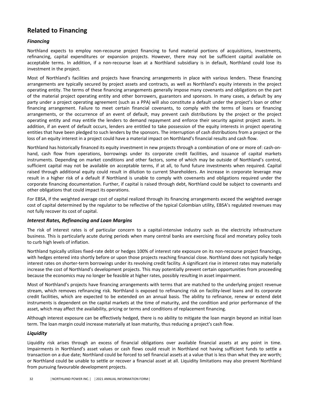## **Related to Financing**

#### *Financing*

Northland expects to employ non-recourse project financing to fund material portions of acquisitions, investments, refinancing, capital expenditures or expansion projects. However, there may not be sufficient capital available on acceptable terms. In addition, if a non-recourse loan at a Northland subsidiary is in default, Northland could lose its investment in the project.

Most of Northland's facilities and projects have financing arrangements in place with various lenders. These financing arrangements are typically secured by project assets and contracts, as well as Northland's equity interests in the project operating entity. The terms of these financing arrangements generally impose many covenants and obligations on the part of the material project operating entity and other borrowers, guarantors and sponsors. In many cases, a default by any party under a project operating agreement (such as a PPA) will also constitute a default under the project's loan or other financing arrangement. Failure to meet certain financial covenants, to comply with the terms of loans or financing arrangements, or the occurrence of an event of default, may prevent cash distributions by the project or the project operating entity and may entitle the lenders to demand repayment and enforce their security against project assets. In addition, if an event of default occurs, lenders are entitled to take possession of the equity interests in project operating entities that have been pledged to such lenders by the sponsors. The interruption of cash distributions from a project or the loss of an equity interest in a project could have a material impact on Northland's financial results and cash flow.

Northland has historically financed its equity investment in new projects through a combination of one or more of: cash-onhand, cash flow from operations, borrowings under its corporate credit facilities, and issuance of capital markets instruments. Depending on market conditions and other factors, some of which may be outside of Northland's control, sufficient capital may not be available on acceptable terms, if at all, to fund future investments when required. Capital raised through additional equity could result in dilution to current Shareholders. An increase in corporate leverage may result in a higher risk of a default if Northland is unable to comply with covenants and obligations required under the corporate financing documentation. Further, if capital is raised through debt, Northland could be subject to covenants and other obligations that could impact its operations.

For EBSA, if the weighted average cost of capital realized through its financing arrangements exceed the weighted average cost of capital determined by the regulator to be reflective of the typical Colombian utility, EBSA's regulated revenues may not fully recover its cost of capital.

#### *Interest Rates, Refinancing and Loan Margins*

The risk of interest rates is of particular concern to a capital-intensive industry such as the electricity infrastructure business. This is particularly acute during periods when many central banks are exercising fiscal and monetary policy tools to curb high levels of inflation.

Northland typically utilizes fixed-rate debt or hedges 100% of interest rate exposure on its non-recourse project financings, with hedges entered into shortly before or upon those projects reaching financial close. Northland does not typically hedge interest rates on shorter-term borrowings under its revolving credit facility. A significant rise in interest rates may materially increase the cost of Northland's development projects. This may potentially prevent certain opportunities from proceeding because the economics may no longer be feasible at higher rates, possibly resulting in asset impairment.

Most of Northland's projects have financing arrangements with terms that are matched to the underlying project revenue stream, which removes refinancing risk. Northland is exposed to refinancing risk on facility-level loans and its corporate credit facilities, which are expected to be extended on an annual basis. The ability to refinance, renew or extend debt instruments is dependent on the capital markets at the time of maturity, and the condition and prior performance of the asset, which may affect the availability, pricing or terms and conditions of replacement financing.

Although interest exposure can be effectively hedged, there is no ability to mitigate the loan margin beyond an initial loan term. The loan margin could increase materially at loan maturity, thus reducing a project's cash flow.

#### *Liquidity*

Liquidity risk arises through an excess of financial obligations over available financial assets at any point in time. Impairments in Northland's asset values or cash flows could result in Northland not having sufficient funds to settle a transaction on a due date; Northland could be forced to sell financial assets at a value that is less than what they are worth; or Northland could be unable to settle or recover a financial asset at all. Liquidity limitations may also prevent Northland from pursuing favourable development projects.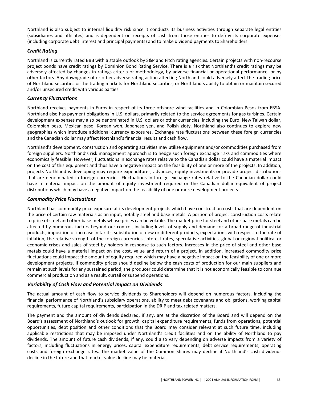Northland is also subject to internal liquidity risk since it conducts its business activities through separate legal entities (subsidiaries and affiliates) and is dependent on receipts of cash from those entities to defray its corporate expenses (including corporate debt interest and principal payments) and to make dividend payments to Shareholders.

#### *Credit Rating*

Northland is currently rated BBB with a stable outlook by S&P and Fitch rating agencies. Certain projects with non-recourse project bonds have credit ratings by Dominion Bond Rating Service. There is a risk that Northland's credit ratings may be adversely affected by changes in ratings criteria or methodology, by adverse financial or operational performance, or by other factors. Any downgrade of or other adverse rating action affecting Northland could adversely affect the trading price of Northland securities or the trading markets for Northland securities, or Northland's ability to obtain or maintain secured and/or unsecured credit with various parties.

#### *Currency Fluctuations*

Northland receives payments in Euros in respect of its three offshore wind facilities and in Colombian Pesos from EBSA. Northland also has payment obligations in U.S. dollars, primarily related to the service agreements for gas turbines. Certain development expenses may also be denominated in U.S. dollars or other currencies, including the Euro, New Taiwan dollar, Colombian peso, Mexican peso, Korean won, Japanese yen, and Polish zloty. Northland also continues to explore new geographies which introduce additional currency exposures. Exchange rate fluctuations between these foreign currencies and the Canadian dollar may affect Northland's financial results and cash flow.

Northland's development, construction and operating activities may utilize equipment and/or commodities purchased from foreign suppliers. Northland's risk management approach is to hedge such foreign exchange risks and commodities where economically feasible. However, fluctuations in exchange rates relative to the Canadian dollar could have a material impact on the cost of this equipment and thus have a negative impact on the feasibility of one or more of the projects. In addition, projects Northland is developing may require expenditures, advances, equity investments or provide project distributions that are denominated in foreign currencies. Fluctuations in foreign exchange rates relative to the Canadian dollar could have a material impact on the amount of equity investment required or the Canadian dollar equivalent of project distributions which may have a negative impact on the feasibility of one or more development projects.

#### *Commodity Price Fluctuations*

Northland has commodity price exposure at its development projects which have construction costs that are dependent on the price of certain raw materials as an input, notably steel and base metals. A portion of project construction costs relate to price of steel and other base metals whose prices can be volatile. The market price for steel and other base metals can be affected by numerous factors beyond our control, including levels of supply and demand for a broad range of industrial products, imposition or increase in tariffs, substitution of new or different products, expectations with respect to the rate of inflation, the relative strength of the foreign currencies, interest rates, speculative activities, global or regional political or economic crises and sales of steel by holders in response to such factors. Increases in the price of steel and other base metals could have a material impact on the cost, value and return of a project. In addition, increased commodity price fluctuations could impact the amount of equity required which may have a negative impact on the feasibility of one or more development projects. If commodity prices should decline below the cash costs of production for our main suppliers and remain at such levels for any sustained period, the producer could determine that it is not economically feasible to continue commercial production and as a result, curtail or suspend operations.

#### *Variability of Cash Flow and Potential Impact on Dividends*

The actual amount of cash flow to service dividends to Shareholders will depend on numerous factors, including the financial performance of Northland's subsidiary operations, ability to meet debt covenants and obligations, working capital requirements, future capital requirements, participation in the DRIP and tax related matters.

The payment and the amount of dividends declared, if any, are at the discretion of the Board and will depend on the Board's assessment of Northland's outlook for growth, capital expenditure requirements, funds from operations, potential opportunities, debt position and other conditions that the Board may consider relevant at such future time, including applicable restrictions that may be imposed under Northland's credit facilities and on the ability of Northland to pay dividends. The amount of future cash dividends, if any, could also vary depending on adverse impacts from a variety of factors, including fluctuations in energy prices, capital expenditure requirements, debt service requirements, operating costs and foreign exchange rates. The market value of the Common Shares may decline if Northland's cash dividends decline in the future and that market value decline may be material.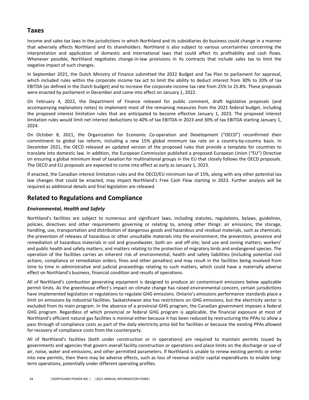## **Taxes**

Income and sales tax laws in the jurisdictions in which Northland and its subsidiaries do business could change in a manner that adversely affects Northland and its shareholders. Northland is also subject to various uncertainties concerning the interpretation and application of domestic and international laws that could affect its profitability and cash flows. Whenever possible, Northland negotiates change-in-law provisions in its contracts that include sales tax to limit the negative impact of such changes.

In September 2021, the Dutch Ministry of Finance submitted the 2022 Budget and Tax Plan to parliament for approval, which included rules within the corporate income tax act to limit the ability to deduct interest from 30% to 20% of tax EBITDA (as defined in the Dutch budget) and to increase the corporate income tax rate from 25% to 25.8%. These proposals were enacted by parliament in December and came into effect on January 1, 2022.

On February 4, 2022, the Department of Finance released for public comment, draft legislative proposals (and accompanying explanatory notes) to implement most of the remaining measures from the 2021 federal budget, including the proposed interest limitation rules that are anticipated to become effective January 1, 2023. The proposed interest limitation rules would limit net interest deductions to 40% of tax EBITDA in 2023 and 30% of tax EBITDA starting January 1, 2024. 

On October 8, 2021, the Organization for Economic Co-operation and Development ("OECD") reconfirmed their commitment to global tax reform, including a new 15% global minimum tax rate on a country-by-country basis. In December 2021, the OECD released an updated version of the proposed rules that provide a template for countries to translate into domestic law. In addition, the European Commission published a proposed European Union ("EU") Directive on ensuring a global minimum level of taxation for multinational groups in the EU that closely follows the OECD proposals. The OECD and EU proposals are expected to come into effect as early as January 1, 2023.

If enacted, the Canadian interest limitation rules and the OECD/EU minimum tax of 15%, along with any other potential tax law changes that could be enacted, may impact Northland's Free Cash Flow starting in 2023. Further analysis will be required as additional details and final legislation are released.

### **Related to Regulations and Compliance**

### *Environmental, Health and Safety*

Northland's facilities are subject to numerous and significant laws, including statutes, regulations, bylaws, guidelines, policies, directives and other requirements governing or relating to, among other things: air emissions; the storage, handling, use, transportation and distribution of dangerous goods and hazardous and residual materials, such as chemicals; the prevention of releases of hazardous or other unsuitable materials into the environment; the prevention, presence and remediation of hazardous materials in soil and groundwater, both on- and off-site; land use and zoning matters; workers' and public health and safety matters; and matters relating to the protection of migratory birds and endangered species. The operation of the facilities carries an inherent risk of environmental, health and safety liabilities (including potential civil actions, compliance or remediation orders, fines and other penalties) and may result in the facilities being involved from time to time in administrative and judicial proceedings relating to such matters, which could have a materially adverse effect on Northland's business, financial condition and results of operations.

All of Northland's combustion generating equipment is designed to produce air contaminant emissions below applicable permit limits. As the greenhouse effect's impact on climate change has raised environmental concern, certain jurisdictions have implemented legislation or regulations to regulate GHG emissions. Ontario's emissions performance standards place a limit on emissions by industrial facilities. Saskatchewan also has restrictions on GHG emissions, but the electricity sector is excluded from its main program. In the absence of a provincial GHG program, the Canadian government imposes a federal GHG program. Regardless of which provincial or federal GHG program is applicable, the financial exposure at most of Northland's efficient natural gas facilities is minimal either because it has been reduced by restructuring the PPAs to allow a pass through of compliance costs as part of the daily electricity price bid for facilities or because the existing PPAs allowed for recovery of compliance costs from the counterparty.

All of Northland's facilities (both under construction or in operations) are required to maintain permits issued by governments and agencies that govern overall facility construction or operations and place limits on the discharge or use of air, noise, water and emissions, and other permitted parameters. If Northland is unable to renew existing permits or enter into new permits, then there may be adverse effects, such as loss of revenue and/or capital expenditures to enable longterm operations, potentially under different operating profiles.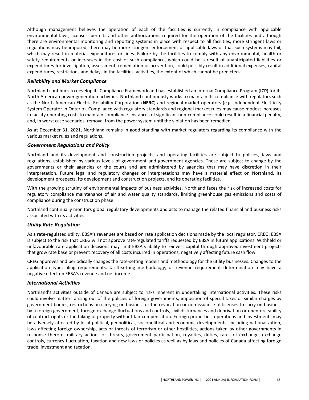Although management believes the operation of each of the facilities is currently in compliance with applicable environmental laws, licenses, permits and other authorizations required for the operation of the facilities and although there are environmental monitoring and reporting systems in place with respect to all facilities, more stringent laws or regulations may be imposed, there may be more stringent enforcement of applicable laws or that such systems may fail, which may result in material expenditures or fines. Failure by the facilities to comply with any environmental, health or safety requirements or increases in the cost of such compliance, which could be a result of unanticipated liabilities or expenditures for investigation, assessment, remediation or prevention, could possibly result in additional expenses, capital expenditures, restrictions and delays in the facilities' activities, the extent of which cannot be predicted.

#### *Reliability and Market Compliance*

Northland continues to develop its Compliance Framework and has established an Internal Compliance Program (ICP) for its North American power generation activities. Northland continuously works to maintain its compliance with regulators such as the North American Electric Reliability Corporation (NERC) and regional market operators (e.g. Independent Electricity System Operator in Ontario). Compliance with regulatory standards and regional market rules may cause modest increases in facility operating costs to maintain compliance. Instances of significant non-compliance could result in a financial penalty, and, in worst case scenarios, removal from the power system until the violation has been remedied.

As at December 31, 2021, Northland remains in good standing with market regulators regarding its compliance with the various market rules and regulations.

#### *Government Regulations and Policy*

Northland and its development and construction projects, and operating facilities are subject to policies, laws and regulations, established by various levels of government and government agencies. These are subject to change by the governments or their agencies or the courts and are administered by agencies that may have discretion in their interpretation. Future legal and regulatory changes or interpretations may have a material effect on Northland, its development prospects, its development and construction projects, and its operating facilities.

With the growing scrutiny of environmental impacts of business activities, Northland faces the risk of increased costs for regulatory compliance maintenance of air and water quality standards, limiting greenhouse gas emissions and costs of compliance during the construction phase.

Northland continually monitors global regulatory developments and acts to manage the related financial and business risks associated with its activities.

#### *Utility Rate Regulation*

As a rate-regulated utility, EBSA's revenues are based on rate application decisions made by the local regulator, CREG. EBSA is subject to the risk that CREG will not approve rate-regulated tariffs requested by EBSA in future applications. Withheld or unfavourable rate application decisions may limit EBSA's ability to reinvest capital through approved investment projects that grow rate base or prevent recovery of all costs incurred in operations, negatively affecting future cash flow.

CREG approves and periodically changes the rate-setting models and methodology for the utility businesses. Changes to the application type, filing requirements, tariff-setting methodology, or revenue requirement determination may have a negative effect on EBSA's revenue and net income.

#### *International Activities*

Northland's activities outside of Canada are subject to risks inherent in undertaking international activities. These risks could involve matters arising out of the policies of foreign governments, imposition of special taxes or similar charges by government bodies, restrictions on carrying on business or the revocation or non-issuance of licenses to carry on business by a foreign government, foreign exchange fluctuations and controls, civil disturbances and deprivation or unenforceability of contract rights or the taking of property without fair compensation. Foreign properties, operations and investments may be adversely affected by local political, geopolitical, sociopolitical and economic developments, including nationalization, laws affecting foreign ownership, acts or threats of terrorism or other hostilities, actions taken by other governments in response thereto, military actions or threats, government participation, royalties, duties, rates of exchange, exchange controls, currency fluctuation, taxation and new laws or policies as well as by laws and policies of Canada affecting foreign trade, investment and taxation.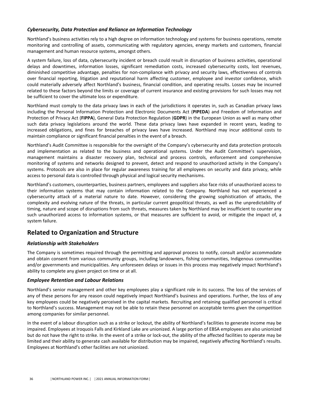#### *Cybersecurity, Data Protection and Reliance on Information Technology*

Northland's business activities rely to a high degree on information technology and systems for business operations, remote monitoring and controlling of assets, communicating with regulatory agencies, energy markets and customers, financial management and human resource systems, amongst others.

A system failure, loss of data, cybersecurity incident or breach could result in disruption of business activities, operational delays and downtimes, information losses, significant remediation costs, increased cybersecurity costs, lost revenues, diminished competitive advantage, penalties for non-compliance with privacy and security laws, effectiveness of controls over financial reporting, litigation and reputational harm affecting customer, employee and investor confidence, which could materially adversely affect Northland's business, financial condition, and operating results. Losses may be incurred related to these factors beyond the limits or coverage of current insurance and existing provisions for such losses may not be sufficient to cover the ultimate loss or expenditure.

Northland must comply to the data privacy laws in each of the jurisdictions it operates in, such as Canadian privacy laws including the Personal Information Protection and Electronic Documents Act (PIPEDA) and Freedom of Information and Protection of Privacy Act (FIPPA), General Data Protection Regulation (GDPR) in the European Union as well as many other such data privacy legislations around the world. These data privacy laws have expanded in recent years, leading to increased obligations, and fines for breaches of privacy laws have increased. Northland may incur additional costs to maintain compliance or significant financial penalties in the event of a breach.

Northland's Audit Committee is responsible for the oversight of the Company's cybersecurity and data protection protocols and implementation as related to the business and operational systems. Under the Audit Committee's supervision, management maintains a disaster recovery plan, technical and process controls, enforcement and comprehensive monitoring of systems and networks designed to prevent, detect and respond to unauthorized activity in the Company's systems. Protocols are also in place for regular awareness training for all employees on security and data privacy, while access to personal data is controlled through physical and logical security mechanisms.

Northland's customers, counterparties, business partners, employees and suppliers also face risks of unauthorized access to their information systems that may contain information related to the Company. Northland has not experienced a cybersecurity attack of a material nature to date. However, considering the growing sophistication of attacks, the complexity and evolving nature of the threats, in particular current geopolitical threats, as well as the unpredictability of timing, nature and scope of disruptions from such threats, measures taken by Northland may be insufficient to counter any such unauthorized access to information systems, or that measures are sufficient to avoid, or mitigate the impact of, a system failure.

### **Related to Organization and Structure**

#### *Relationship with Stakeholders*

The Company is sometimes required through the permitting and approval process to notify, consult and/or accommodate and obtain consent from various community groups, including landowners, fishing communities, Indigenous communities and/or governments and municipalities. Any unforeseen delays or issues in this process may negatively impact Northland's ability to complete any given project on time or at all.

#### *Employee Retention and Labour Relations*

Northland's senior management and other key employees play a significant role in its success. The loss of the services of any of these persons for any reason could negatively impact Northland's business and operations. Further, the loss of any key employees could be negatively perceived in the capital markets. Recruiting and retaining qualified personnel is critical to Northland's success. Management may not be able to retain these personnel on acceptable terms given the competition among companies for similar personnel.

In the event of a labour disruption such as a strike or lockout, the ability of Northland's facilities to generate income may be impaired. Employees at Iroquois Falls and Kirkland Lake are unionized. A large portion of EBSA employees are also unionized but do not have the right to strike. In the event of a strike or lock-out, the ability of the affected facilities to operate may be limited and their ability to generate cash available for distribution may be impaired, negatively affecting Northland's results. Employees at Northland's other facilities are not unionized.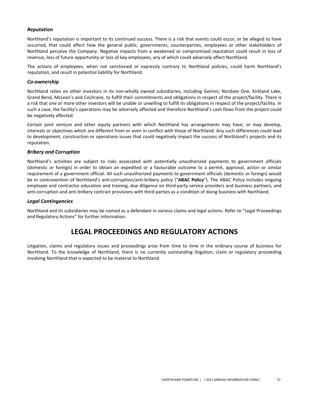#### <span id="page-38-0"></span>*Reputation*

Northland's reputation is important to its continued success. There is a risk that events could occur, or be alleged to have occurred, that could affect how the general public, governments, counterparties, employees or other stakeholders of Northland perceive the Company. Negative impacts from a weakened or compromised reputation could result in loss of revenue, loss of future opportunity or loss of key employees, any of which could adversely affect Northland.

The actions of employees, when not sanctioned or expressly contrary to Northland policies, could harm Northland's reputation, and result in potential liability for Northland.

#### *Co-ownership*

Northland relies on other investors in its non-wholly owned subsidiaries, including Gemini, Nordsee One, Kirkland Lake, Grand Bend, McLean's and Cochrane, to fulfill their commitments and obligations in respect of the project/facility. There is a risk that one or more other investors will be unable or unwilling to fulfill its obligations in respect of the project/facility. In such a case, the facility's operations may be adversely affected and therefore Northland's cash flows from the project could be negatively affected.

Certain joint venture and other equity partners with which Northland has arrangements may have, or may develop, interests or objectives which are different from or even in conflict with those of Northland. Any such differences could lead to development, construction or operations issues that could negatively impact the success of Northland's projects and its reputation.

#### *Bribery and Corruption*

Northland's activities are subject to risks associated with potentially unauthorized payments to government officials (domestic or foreign) in order to obtain an expedited or a favourable outcome to a permit, approval, action or similar requirement of a government official. All such unauthorized payments to government officials (domestic or foreign) would be in contravention of Northland's anti-corruption/anti-bribery policy ("**ABAC Policy**"). The ABAC Policy includes ongoing employee and contractor education and training, due diligence on third-party service providers and business partners, and anti-corruption and anti-bribery contract provisions with third-parties as a condition of doing business with Northland.

#### *Legal Contingencies*

Northland and its subsidiaries may be named as a defendant in various claims and legal actions. Refer to "Legal Proceedings and Regulatory Actions" for further information.

## **LEGAL PROCEEDINGS AND REGULATORY ACTIONS**

Litigation, claims and regulatory issues and proceedings arise from time to time in the ordinary course of business for Northland. To the knowledge of Northland, there is no currently outstanding litigation, claim or regulatory proceeding involving Northland that is expected to be material to Northland.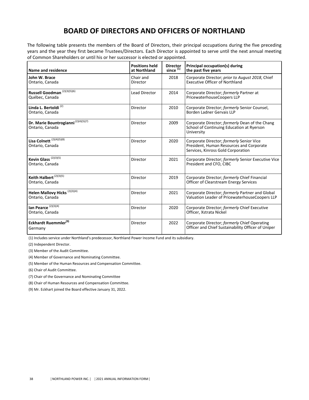# **BOARD OF DIRECTORS AND OFFICERS OF NORTHLAND**

<span id="page-39-0"></span>The following table presents the members of the Board of Directors, their principal occupations during the five preceding years and the year they first became Trustees/Directors. Each Director is appointed to serve until the next annual meeting of Common Shareholders or until his or her successor is elected or appointed.

| Name and residence                                                 | <b>Positions held</b><br><b>Director</b><br>since <sup>(1)</sup><br>at Northland |      | Principal occupation(s) during<br>the past five years                                                                      |  |
|--------------------------------------------------------------------|----------------------------------------------------------------------------------|------|----------------------------------------------------------------------------------------------------------------------------|--|
| John W. Brace<br>Ontario, Canada                                   | Chair and<br>Director                                                            | 2018 | Corporate Director; prior to August 2018, Chief<br><b>Executive Officer of Northland</b>                                   |  |
| Russell Goodman <sup>(2)(3)(5)(6)</sup><br>Québec, Canada          | <b>Lead Director</b>                                                             | 2014 | Corporate Director; formerly Partner at<br>PricewaterhouseCoopers LLP                                                      |  |
| Linda L. Bertoldi <sup>(2)</sup><br>Ontario, Canada                | Director                                                                         | 2010 | Corporate Director; formerly Senior Counsel,<br>Borden Ladner Gervais LLP                                                  |  |
| Dr. Marie Bountrogianni <sup>(2)(4)(5)(7)</sup><br>Ontario, Canada | Director                                                                         | 2009 | Corporate Director; formerly Dean of the Chang<br>School of Continuing Education at Ryerson<br>University                  |  |
| Lisa Colnett <sup>(2)(4)(5)(8)</sup><br>Ontario, Canada            | Director                                                                         | 2020 | Corporate Director; formerly Senior Vice<br>President, Human Resources and Corporate<br>Services, Kinross Gold Corporation |  |
| Kevin Glass <sup>(2)(3)(5)</sup><br>Ontario, Canada                | Director                                                                         | 2021 | Corporate Director; formerly Senior Executive Vice<br>President and CFO, CIBC                                              |  |
| Keith Halbert <sup>(2)(3)(5)</sup><br>Ontario, Canada              | Director                                                                         | 2019 | Corporate Director; formerly Chief Financial<br>Officer of Clearstream Energy Services                                     |  |
| Helen Mallovy Hicks <sup>(2)(3)(4)</sup><br>Ontario, Canada        | Director                                                                         | 2021 | Corporate Director; formerly Partner and Global<br>Valuation Leader of PricewaterhouseCoopers LLP                          |  |
| Ian Pearce <sup>(2)(3)(4)</sup><br>Ontario, Canada                 | Director                                                                         | 2020 | Corporate Director; formerly Chief Executive<br>Officer, Xstrata Nickel                                                    |  |
| Eckhardt Ruemmler <sup>(9)</sup><br>Germany                        | Director                                                                         | 2022 | Corporate Director; formerly Chief Operating<br>Officer and Chief Sustainability Officer of Uniper                         |  |

(1) Includes service under Northland's predecessor, Northland Power Income Fund and its subsidiary.

(2) Independent Director.

(3) Member of the Audit Committee.

(4) Member of Governance and Nominating Committee.

(5) Member of the Human Resources and Compensation Committee.

(6) Chair of Audit Committee.

(7) Chair of the Governance and Nominating Committee

(8) Chair of Human Resources and Compensation Committee.

(9) Mr. Eckhart joined the Board effective January 31, 2022.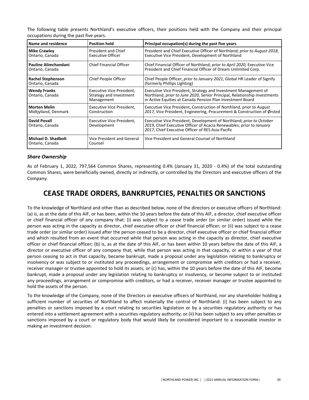<span id="page-40-0"></span>The following table presents Northland's executive officers, their positions held with the Company and their principal occupations during the past five years.

| Name and residence                            | <b>Position held</b>                                               | Principal occupation(s) during the past five years                                                                                                                                                         |  |
|-----------------------------------------------|--------------------------------------------------------------------|------------------------------------------------------------------------------------------------------------------------------------------------------------------------------------------------------------|--|
| <b>Mike Crawley</b><br>Ontario, Canada        | <b>President and Chief</b><br><b>Executive Officer</b>             | President and Chief Executive Officer of Northland; prior to August 2018,<br>Executive Vice President, Development of Northland                                                                            |  |
| l Pauline Alimchandani<br>Ontario, Canada     | <b>Chief Financial Officer</b>                                     | Chief Financial Officer of Northland; prior to April 2020, Executive Vice<br>President and Chief Financial Officer of Dream Unlimited Corp.                                                                |  |
| <b>Rachel Stephenson</b><br>Ontario, Canada   | Chief People Officer                                               | Chief People Officer; prior to January 2021, Global HR Leader of Signify<br>(formerly Phillips Lighting)                                                                                                   |  |
| <b>Wendy Franks</b><br>Ontario, Canada        | Executive Vice President,<br>Strategy and Investment<br>Management | Executive Vice President, Strategy and Investment Management of<br>Northland, prior to June 2020, Senior Principal, Relationship Investments<br>in Active Equities at Canada Pension Plan Investment Board |  |
| <b>Morten Melin</b><br>Midtiylland, Denmark   | Executive Vice President,<br>Construction                          | Executive Vice President, Construction of Northland, prior to August<br>2017, Vice President, Engineering, Procurement & Construction of Ørsted                                                            |  |
| David Povall<br>Ontario, Canada               | Executive Vice President,<br>Development                           | Executive Vice President, Development of Northland; prior to October<br>2019, Chief Executive Officer of Acacia Renewables; prior to January<br>2017, Chief Executive Officer of RES Asia-Pacific          |  |
| <b>Michael D. Shadbolt</b><br>Ontario, Canada | Vice President and General<br>Counsel                              | Vice President and General Counsel of Northland                                                                                                                                                            |  |

#### *Share Ownership*

As of February 1, 2022, 797,564 Common Shares, representing 0.4% (January 31, 2020 - 0.4%) of the total outstanding Common Shares, were beneficially owned, directly or indirectly, or controlled by the Directors and executive officers of the Company. 

## **CEASE TRADE ORDERS, BANKRUPTCIES, PENALTIES OR SANCTIONS**

To the knowledge of Northland and other than as described below, none of the directors or executive officers of Northland: (a) is, as at the date of this AIF, or has been, within the 10 years before the date of this AIF, a director, chief executive officer or chief financial officer of any company that: (i) was subject to a cease trade order (or similar order) issued while the person was acting in the capacity as director, chief executive officer or chief financial officer; or (ii) was subject to a cease trade order (or similar order) issued after the person ceased to be a director, chief executive officer or chief financial officer and which resulted from an event that occurred while that person was acting in the capacity as director, chief executive officer or chief financial officer; (b) is, as at the date of this AIF, or has been within 10 years before the date of this AIF, a director or executive officer of any company that, while that person was acting in that capacity, or within a year of that person ceasing to act in that capacity, became bankrupt, made a proposal under any legislation relating to bankruptcy or insolvency or was subject to or instituted any proceedings, arrangement or compromise with creditors or had a receiver, receiver manager or trustee appointed to hold its assets; or (c) has, within the 10 years before the date of this AIF, become bankrupt, made a proposal under any legislation relating to bankruptcy or insolvency, or become subject to or instituted any proceedings, arrangement or compromise with creditors, or had a receiver, receiver manager or trustee appointed to hold the assets of the person.

To the knowledge of the Company, none of the Directors or executive officers of Northland, nor any shareholder holding a sufficient number of securities of Northland to affect materially the control of Northland: (i) has been subject to any penalties or sanctions imposed by a court relating to securities legislation or by a securities regulatory authority or has entered into a settlement agreement with a securities regulatory authority; or (ii) has been subject to any other penalties or sanctions imposed by a court or regulatory body that would likely be considered important to a reasonable investor in making an investment decision.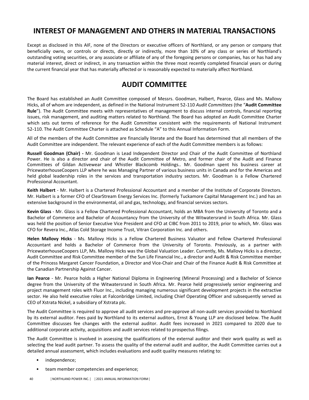# <span id="page-41-0"></span>**INTEREST OF MANAGEMENT AND OTHERS IN MATERIAL TRANSACTIONS**

Except as disclosed in this AIF, none of the Directors or executive officers of Northland, or any person or company that beneficially owns, or controls or directs, directly or indirectly, more than 10% of any class or series of Northland's outstanding voting securities, or any associate or affiliate of any of the foregoing persons or companies, has or has had any material interest, direct or indirect, in any transaction within the three most recently completed financial years or during the current financial year that has materially affected or is reasonably expected to materially affect Northland.

## **AUDIT COMMITTEE**

The Board has established an Audit Committee composed of Messrs. Goodman, Halbert, Pearce, Glass and Ms. Mallovy Hicks, all of whom are independent, as defined in the National Instrument 52-110 *Audit Committees* (the "Audit Committee **Rule**"). The Audit Committee meets with representatives of management to discuss internal controls, financial reporting issues, risk management, and auditing matters related to Northland. The Board has adopted an Audit Committee Charter which sets out terms of reference for the Audit Committee consistent with the requirements of National Instrument 52‑110. The Audit Committee Charter is attached as Schedule "A" to this Annual Information Form.

All of the members of the Audit Committee are financially literate and the Board has determined that all members of the Audit Committee are independent. The relevant experience of each of the Audit Committee members is as follows:

**Russell Goodman (Chair)** - Mr. Goodman is Lead Independent Director and Chair of the Audit Committee of Northland Power. He is also a director and chair of the Audit Committee of Metro, and former chair of the Audit and Finance Committees of Gildan Activewear and Whistler Blackcomb Holdings.. Mr. Goodman spent his business career at PricewaterhouseCoopers LLP where he was Managing Partner of various business units in Canada and for the Americas and held global leadership roles in the services and transportation industry sectors. Mr. Goodman is a Fellow Chartered Professional Accountant.

**Keith Halbert** - Mr. Halbert is a Chartered Professional Accountant and a member of the Institute of Corporate Directors. Mr. Halbert is a former CFO of ClearStream Energy Services Inc. (formerly Tuckamore Capital Management Inc.) and has an extensive background in the environmental, oil and gas, technology, and financial services sectors.

**Kevin Glass** - Mr. Glass is a Fellow Chartered Professional Accountant, holds an MBA from the University of Toronto and a Bachelor of Commerce and Bachelor of Accountancy from the University of the Witwatersrand in South Africa. Mr. Glass was held the position of Senior Executive Vice President and CFO at CIBC from 2011 to 2019, prior to which, Mr. Glass was CFO for Revera Inc., Atlas Cold Storage Income Trust, Vitran Corporation Inc. and others.

Helen Mallovy Hicks - Ms. Mallovy Hicks is a Fellow Chartered Business Valuator and Fellow Chartered Professional Accountant and holds a Bachelor of Commerce from the University of Toronto. Previously, as a partner with PricewaterhouseCoopers LLP, Ms. Mallovy Hicks was the Global Valuation Leader. Currently, Ms. Mallovy Hicks is a director, Audit Committee and Risk Committee member of the Sun Life Financial Inc., a director and Audit & Risk Committee member of the Princess Margaret Cancer Foundation, a Director and Vice-Chair and Chair of the Finance Audit & Risk Committee at the Canadian Partnership Against Cancer.

**Ian Pearce** - Mr. Pearce holds a Higher National Diploma in Engineering (Mineral Processing) and a Bachelor of Science degree from the University of the Witwatersrand in South Africa. Mr. Pearce held progressively senior engineering and project management roles with Fluor Inc., including managing numerous significant development projects in the extractive sector. He also held executive roles at Falconbridge Limited, including Chief Operating Officer and subsequently served as CEO of Xstrata Nickel, a subsidiary of Xstrata plc.

The Audit Committee is required to approve all audit services and pre-approve all non-audit services provided to Northland by its external auditor. Fees paid by Northland to its external auditors, Ernst & Young LLP are disclosed below. The Audit Committee discusses fee changes with the external auditor. Audit fees increased in 2021 compared to 2020 due to additional corporate activity, acquisitions and audit services related to prospectus filings.

The Audit Committee is involved in assessing the qualifications of the external auditor and their work quality as well as selecting the lead audit partner. To assess the quality of the external audit and auditor, the Audit Committee carries out a detailed annual assessment, which includes evaluations and audit quality measures relating to:

- independence;
- team member competencies and experience;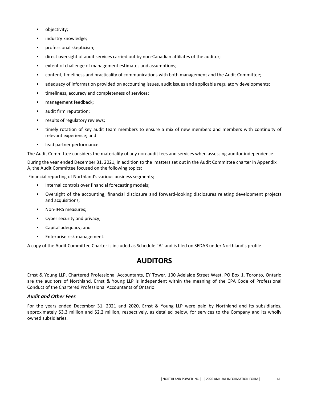- <span id="page-42-0"></span>• objectivity;
- industry knowledge;
- professional skepticism;
- direct oversight of audit services carried out by non-Canadian affiliates of the auditor;
- extent of challenge of management estimates and assumptions;
- content, timeliness and practicality of communications with both management and the Audit Committee;
- adequacy of information provided on accounting issues, audit issues and applicable regulatory developments;
- timeliness, accuracy and completeness of services;
- management feedback;
- audit firm reputation;
- results of regulatory reviews;
- timely rotation of key audit team members to ensure a mix of new members and members with continuity of relevant experience; and
- lead partner performance.

The Audit Committee considers the materiality of any non-audit fees and services when assessing auditor independence.

During the year ended December 31, 2021, in addition to the matters set out in the Audit Committee charter in Appendix A, the Audit Committee focused on the following topics:

Financial reporting of Northland's various business segments;

- Internal controls over financial forecasting models;
- Oversight of the accounting, financial disclosure and forward-looking disclosures relating development projects and acquisitions;
- Non-IFRS measures;
- Cyber security and privacy;
- Capital adequacy; and
- Enterprise risk management.

A copy of the Audit Committee Charter is included as Schedule "A" and is filed on SEDAR under Northland's profile.

## **AUDITORS**

Ernst & Young LLP, Chartered Professional Accountants, EY Tower, 100 Adelaide Street West, PO Box 1, Toronto, Ontario are the auditors of Northland. Ernst & Young LLP is independent within the meaning of the CPA Code of Professional Conduct of the Chartered Professional Accountants of Ontario.

#### *Audit and Other Fees*

For the years ended December 31, 2021 and 2020, Ernst & Young LLP were paid by Northland and its subsidiaries, approximately \$3.3 million and \$2.2 million, respectively, as detailed below, for services to the Company and its wholly owned subsidiaries.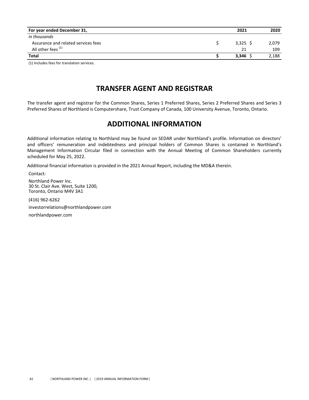<span id="page-43-0"></span>

| For year ended December 31,         | 2021       | 2020  |
|-------------------------------------|------------|-------|
| in thousands                        |            |       |
| Assurance and related services fees | $3,325$ \$ | 2.079 |
| All other fees <sup>(1)</sup>       | 21         | 109   |
| <b>Total</b>                        | $3.346$ \$ | 2,188 |
|                                     |            |       |

(1) Includes fees for translation services.

## **TRANSFER AGENT AND REGISTRAR**

The transfer agent and registrar for the Common Shares, Series 1 Preferred Shares, Series 2 Preferred Shares and Series 3 Preferred Shares of Northland is Computershare, Trust Company of Canada, 100 University Avenue, Toronto, Ontario.

## **ADDITIONAL INFORMATION**

Additional information relating to Northland may be found on SEDAR under Northland's profile. Information on directors' and officers' remuneration and indebtedness and principal holders of Common Shares is contained in Northland's Management Information Circular filed in connection with the Annual Meeting of Common Shareholders currently scheduled for May 25, 2022.

Additional financial information is provided in the 2021 Annual Report, including the MD&A therein.

Contact: Northland Power Inc. 30 St. Clair Ave. West, Suite 1200, Toronto, Ontario M4V 3A1

(416) 962-6262

investorrelations@northlandpower.com

northlandpower.com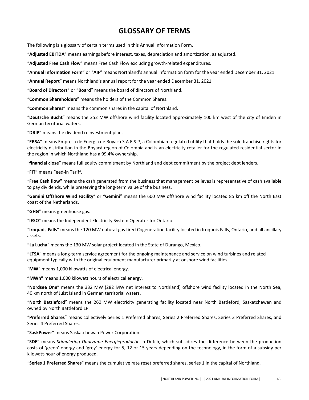# **GLOSSARY OF TERMS**

<span id="page-44-0"></span>The following is a glossary of certain terms used in this Annual Information Form.

"**Adjusted EBITDA**" means earnings before interest, taxes, depreciation and amortization, as adjusted.

"Adjusted Free Cash Flow" means Free Cash Flow excluding growth-related expenditures.

"Annual Information Form" or "AIF" means Northland's annual information form for the year ended December 31, 2021.

"Annual Report" means Northland's annual report for the year ended December 31, 2021.

"Board of Directors" or "Board" means the board of directors of Northland.

"Common Shareholders" means the holders of the Common Shares.

"Common Shares" means the common shares in the capital of Northland.

"Deutsche Bucht" means the 252 MW offshore wind facility located approximately 100 km west of the city of Emden in German territorial waters.

"DRIP" means the dividend reinvestment plan.

"EBSA" means Empresa de Energía de Boyacá S.A E.S.P, a Colombian regulated utility that holds the sole franchise rights for electricity distribution in the Boyacá region of Colombia and is an electricity retailer for the regulated residential sector in the region in which Northland has a 99.4% ownership.

"financial close" means full equity commitment by Northland and debt commitment by the project debt lenders.

"FIT" means Feed-in Tariff.

"Free Cash flow" means the cash generated from the business that management believes is representative of cash available to pay dividends, while preserving the long-term value of the business.

"Gemini Offshore Wind Facility" or "Gemini" means the 600 MW offshore wind facility located 85 km off the North East coast of the Netherlands.

"**GHG**" means greenhouse gas.

"IESO" means the Independent Electricity System Operator for Ontario.

"Iroquois Falls" means the 120 MW natural-gas fired Cogeneration facility located in Iroquois Falls, Ontario, and all ancillary assets.

"La Lucha" means the 130 MW solar project located in the State of Durango, Mexico.

**"LTSA**" means a long-term service agreement for the ongoing maintenance and service on wind turbines and related equipment typically with the original equipment manufacturer primarily at onshore wind facilities.

"MW" means 1,000 kilowatts of electrical energy.

"MWh" means 1,000 kilowatt hours of electrical energy.

"Nordsee One" means the 332 MW (282 MW net interest to Northland) offshore wind facility located in the North Sea, 40 km north of Juist Island in German territorial waters.

"North Battleford" means the 260 MW electricity generating facility located near North Battleford, Saskatchewan and owned by North Battleford LP.

"Preferred Shares" means collectively Series 1 Preferred Shares, Series 2 Preferred Shares, Series 3 Preferred Shares, and Series 4 Preferred Shares.

"SaskPower" means Saskatchewan Power Corporation.

"SDE" means Stimulering Duurzame Energieproductie in Dutch, which subsidizes the difference between the production costs of 'green' energy and 'grey' energy for 5, 12 or 15 years depending on the technology, in the form of a subsidy per kilowatt-hour of energy produced.

"Series 1 Preferred Shares" means the cumulative rate reset preferred shares, series 1 in the capital of Northland.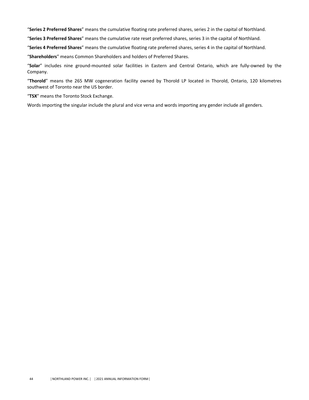"Series 2 Preferred Shares" means the cumulative floating rate preferred shares, series 2 in the capital of Northland.

"Series 3 Preferred Shares" means the cumulative rate reset preferred shares, series 3 in the capital of Northland.

"Series 4 Preferred Shares" means the cumulative floating rate preferred shares, series 4 in the capital of Northland.

"Shareholders" means Common Shareholders and holders of Preferred Shares.

"Solar" includes nine ground-mounted solar facilities in Eastern and Central Ontario, which are fully-owned by the Company.

"Thorold" means the 265 MW cogeneration facility owned by Thorold LP located in Thorold, Ontario, 120 kilometres southwest of Toronto near the US border.

"TSX" means the Toronto Stock Exchange.

Words importing the singular include the plural and vice versa and words importing any gender include all genders.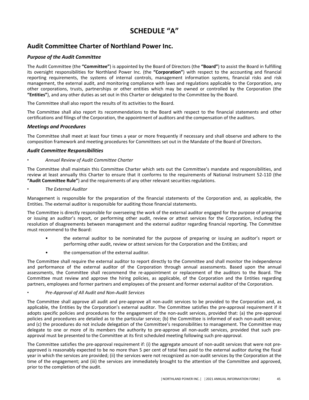# SCHEDULE "A"

## <span id="page-46-0"></span>**Audit Committee Charter of Northland Power Inc.**

#### **Purpose of the Audit Committee**

The Audit Committee (the "Committee") is appointed by the Board of Directors (the "Board") to assist the Board in fulfilling its oversight responsibilities for Northland Power Inc. (the "Corporation") with respect to the accounting and financial reporting requirements, the systems of internal controls, management information systems, financial risks and risk management, the external audit, and monitoring compliance with laws and regulations applicable to the Corporation, any other corporations, trusts, partnerships or other entities which may be owned or controlled by the Corporation (the "Entities"), and any other duties as set out in this Charter or delegated to the Committee by the Board.

The Committee shall also report the results of its activities to the Board.

The Committee shall also report its recommendations to the Board with respect to the financial statements and other certifications and filings of the Corporation, the appointment of auditors and the compensation of the auditors.

#### *Meetings and Procedures*

The Committee shall meet at least four times a year or more frequently if necessary and shall observe and adhere to the composition framework and meeting procedures for Committees set out in the Mandate of the Board of Directors.

#### *Audit Committee Responsibilities*

#### **Annual Review of Audit Committee Charter**

The Committee shall maintain this Committee Charter which sets out the Committee's mandate and responsibilities, and review at least annually this Charter to ensure that it conforms to the requirements of National Instrument 52‑110 (the "Audit Committee Rule") and the requirements of any other relevant securities regulations.

**The External Auditor** 

Management is responsible for the preparation of the financial statements of the Corporation and, as applicable, the Entities. The external auditor is responsible for auditing those financial statements.

The Committee is directly responsible for overseeing the work of the external auditor engaged for the purpose of preparing or issuing an auditor's report, or performing other audit, review or attest services for the Corporation, including the resolution of disagreements between management and the external auditor regarding financial reporting. The Committee must recommend to the Board:

- the external auditor to be nominated for the purpose of preparing or issuing an auditor's report or performing other audit, review or attest services for the Corporation and the Entities; and
- the compensation of the external auditor.

The Committee shall require the external auditor to report directly to the Committee and shall monitor the independence and performance of the external auditor of the Corporation through annual assessments. Based upon the annual assessments, the Committee shall recommend the re-appointment or replacement of the auditors to the Board. The Committee must review and approve the hiring policies, as applicable, of the Corporation and the Entities regarding partners, employees and former partners and employees of the present and former external auditor of the Corporation.

#### ▪ *Pre*‑*Approval of All Audit and Non*‑*Audit Services*

The Committee shall approve all audit and pre-approve all non-audit services to be provided to the Corporation and, as applicable, the Entities by the Corporation's external auditor. The Committee satisfies the pre-approval requirement if it adopts specific policies and procedures for the engagement of the non-audit services, provided that: (a) the pre-approval policies and procedures are detailed as to the particular service; (b) the Committee is informed of each non-audit service; and (c) the procedures do not include delegation of the Committee's responsibilities to management. The Committee may delegate to one or more of its members the authority to pre-approve all non-audit services, provided that such preapproval must be presented to the Committee at its first scheduled meeting following such pre-approval.

The Committee satisfies the pre-approval requirement if: (i) the aggregate amount of non-audit services that were not preapproved is reasonably expected to be no more than 5 per cent of total fees paid to the external auditor during the fiscal year in which the services are provided; (ii) the services were not recognized as non-audit services by the Corporation at the time of the engagement; and (iii) the services are immediately brought to the attention of the Committee and approved, prior to the completion of the audit.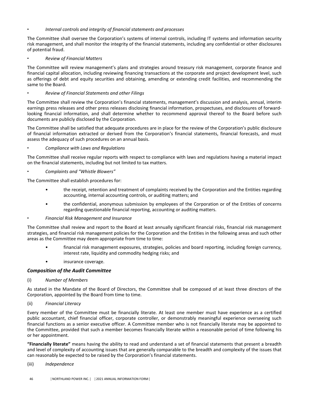#### Internal controls and integrity of financial statements and processes

The Committee shall oversee the Corporation's systems of internal controls, including IT systems and information security risk management, and shall monitor the integrity of the financial statements, including any confidential or other disclosures of potential fraud.

**Review of Financial Matters** 

The Committee will review management's plans and strategies around treasury risk management, corporate finance and financial capital allocation, including reviewing financing transactions at the corporate and project development level, such as offerings of debt and equity securities and obtaining, amending or extending credit facilities, and recommending the same to the Board.

#### ▪ *Review of Financial Statements and other Filings*

The Committee shall review the Corporation's financial statements, management's discussion and analysis, annual, interim earnings press releases and other press releases disclosing financial information, prospectuses, and disclosures of forwardlooking financial information, and shall determine whether to recommend approval thereof to the Board before such documents are publicly disclosed by the Corporation.

The Committee shall be satisfied that adequate procedures are in place for the review of the Corporation's public disclosure of financial information extracted or derived from the Corporation's financial statements, financial forecasts, and must assess the adequacy of such procedures on an annual basis.

#### **Compliance with Laws and Regulations**

The Committee shall receive regular reports with respect to compliance with laws and regulations having a material impact on the financial statements, including but not limited to tax matters.

▪ *Complaints and "Whistle Blowers"*

The Committee shall establish procedures for:

- the receipt, retention and treatment of complaints received by the Corporation and the Entities regarding accounting, internal accounting controls, or auditing matters; and
- the confidential, anonymous submission by employees of the Corporation or of the Entities of concerns regarding questionable financial reporting, accounting or auditing matters.

#### **Financial Risk Management and Insurance**

The Committee shall review and report to the Board at least annually significant financial risks, financial risk management strategies, and financial risk management policies for the Corporation and the Entities in the following areas and such other areas as the Committee may deem appropriate from time to time:

- financial risk management exposures, strategies, policies and board reporting, including foreign currency, interest rate, liquidity and commodity hedging risks; and
- insurance coverage.

#### *Composition of the Audit Committee*

(i) *Number of Members*

As stated in the Mandate of the Board of Directors, the Committee shall be composed of at least three directors of the Corporation, appointed by the Board from time to time.

(ii) *Financial Literacy*

Every member of the Committee must be financially literate. At least one member must have experience as a certified public accountant, chief financial officer, corporate controller, or demonstrably meaningful experience overseeing such financial functions as a senior executive officer. A Committee member who is not financially literate may be appointed to the Committee, provided that such a member becomes financially literate within a reasonable period of time following his or her appointment.

**"Financially literate"** means having the ability to read and understand a set of financial statements that present a breadth and level of complexity of accounting issues that are generally comparable to the breadth and complexity of the issues that can reasonably be expected to be raised by the Corporation's financial statements.

(iii) *Independence*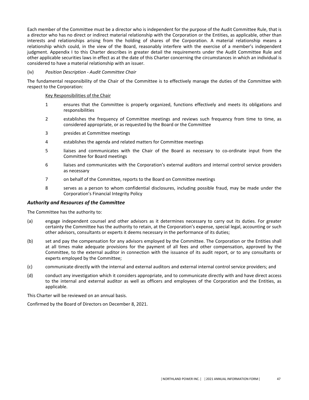Each member of the Committee must be a director who is independent for the purpose of the Audit Committee Rule, that is a director who has no direct or indirect material relationship with the Corporation or the Entities, as applicable, other than interests and relationships arising from the holding of shares of the Corporation. A material relationship means a relationship which could, in the view of the Board, reasonably interfere with the exercise of a member's independent judgment. Appendix I to this Charter describes in greater detail the requirements under the Audit Committee Rule and other applicable securities laws in effect as at the date of this Charter concerning the circumstances in which an individual is considered to have a material relationship with an issuer.

#### (iv) *Position Description - Audit Committee Chair*

The fundamental responsibility of the Chair of the Committee is to effectively manage the duties of the Committee with respect to the Corporation:

#### Key Responsibilities of the Chair

- 1 ensures that the Committee is properly organized, functions effectively and meets its obligations and responsibilities
- 2 establishes the frequency of Committee meetings and reviews such frequency from time to time, as considered appropriate, or as requested by the Board or the Committee
- 3 presides at Committee meetings
- 4 establishes the agenda and related matters for Committee meetings
- 5 liaises and communicates with the Chair of the Board as necessary to co-ordinate input from the Committee for Board meetings
- 6 liaises and communicates with the Corporation's external auditors and internal control service providers as necessary
- 7 on behalf of the Committee, reports to the Board on Committee meetings
- 8 serves as a person to whom confidential disclosures, including possible fraud, may be made under the Corporation's Financial Integrity Policy

#### *Authority and Resources of the Committee*

The Committee has the authority to:

- (a) engage independent counsel and other advisors as it determines necessary to carry out its duties. For greater certainty the Committee has the authority to retain, at the Corporation's expense, special legal, accounting or such other advisors, consultants or experts it deems necessary in the performance of its duties;
- (b) set and pay the compensation for any advisors employed by the Committee. The Corporation or the Entities shall at all times make adequate provisions for the payment of all fees and other compensation, approved by the Committee, to the external auditor in connection with the issuance of its audit report, or to any consultants or experts employed by the Committee;
- (c) communicate directly with the internal and external auditors and external internal control service providers; and
- (d) conduct any investigation which it considers appropriate, and to communicate directly with and have direct access to the internal and external auditor as well as officers and employees of the Corporation and the Entities, as applicable.

This Charter will be reviewed on an annual basis.

Confirmed by the Board of Directors on December 8, 2021.